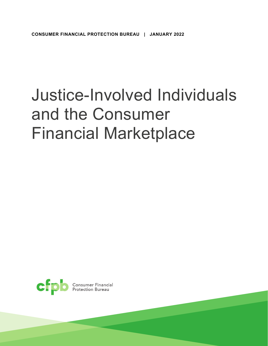# Justice-Involved Individuals and the Consumer Financial Marketplace

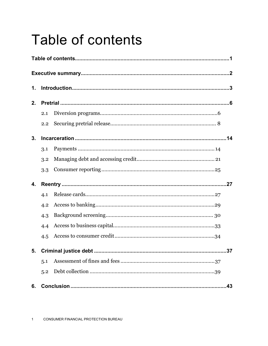## <span id="page-1-0"></span>Table of contents

| 1. |     |  |  |
|----|-----|--|--|
| 2. |     |  |  |
|    | 2.1 |  |  |
|    | 2.2 |  |  |
| 3. |     |  |  |
|    | 3.1 |  |  |
|    | 3.2 |  |  |
|    | 3.3 |  |  |
| 4. |     |  |  |
|    | 4.1 |  |  |
|    | 4.2 |  |  |
|    | 4.3 |  |  |
|    | 4.4 |  |  |
|    | 4.5 |  |  |
|    |     |  |  |
|    | 5.1 |  |  |
|    | 5.2 |  |  |
| 6. |     |  |  |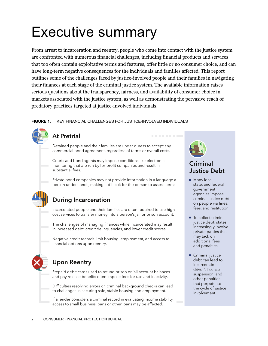## Executive summary

From arrest to incarceration and reentry, people who come into contact with the justice system are confronted with numerous financial challenges, including financial products and services that too often contain exploitative terms and features, offer little or no consumer choice, and can have long-term negative consequences for the individuals and families affected. This report outlines some of the challenges faced by justice-involved people and their families in navigating their finances at each stage of the criminal justice system. The available information raises serious questions about the transparency, fairness, and availability of consumer choice in markets associated with the justice system, as well as demonstrating the pervasive reach of predatory practices targeted at justice-involved individuals.

#### **FIGURE 1:** KEY FINANCIAL CHALLENGES FOR JUSTICE-INVOLVED INDIVIDUALS



#### **At Pretrial**

Detained people and their families are under duress to accept any commercial bond agreement, regardless of terms or overall costs.

Courts and bond agents may impose conditions like electronic monitoring that are run by for-profit companies and result in substantial fees.

Private bond companies may not provide information in a language a person understands, making it difficult for the person to assess terms.



#### **During Incarceration**

Incarcerated people and their families are often required to use high cost services to transfer money into a person's jail or prison account.

The challenges of managing finances while incarcerated may result in increased debt, credit delinquencies, and lower credit scores.

Negative credit records limit housing, employment, and access to financial options upon reentry.



#### **Upon Reentry**

Prepaid debit cards used to refund prison or jail account balances and pay release benefits often impose fees for use and inactivity.

Difficulties resolving errors on criminal background checks can lead to challenges in securing safe, stable housing and employment.

If a lender considers a criminal record in evaluating income stability, access to small business loans or other loans may be affected.



. . . . . . . . . .

#### **Criminal Justice Debt**

- Many local, state, and federal government agencies impose criminal justice debt on people via fines, fees, and restitution.
- To collect criminal justice debt, states increasingly involve private parties that may tack on additional fees and penalties.
- Criminal justice debt can lead to incarceration, driver's license suspension, and other penalties that perpetuate the cycle of justice involvement.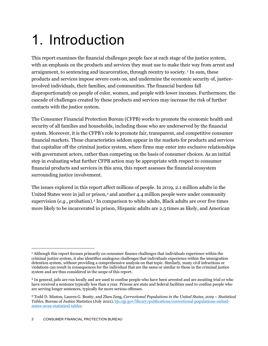## <span id="page-3-0"></span>1. Introduction

This report examines the financial challenges people face at each stage of the justice system, with an emphasis on the products and services they must use to make their way from arrest and arraignment, to sentencing and incarceration, through reentry to society.<sup>[1](#page-3-1)</sup> In sum, these products and services impose severe costs on, and undermine the economic security of, justiceinvolved individuals, their families, and communities. The financial burdens fall disproportionately on people of color, women, and people with lower incomes. Furthermore, the cascade of challenges created by these products and services may increase the risk of further contacts with the justice system.

The Consumer Financial Protection Bureau (CFPB) works to promote the economic health and security of all families and households, including those who are underserved by the financial system. Moreover, it is the CFPB's role to promote fair, transparent, and competitive consumer financial markets. These characteristics seldom appear in the markets for products and services that capitalize off the criminal justice system, where firms may enter into exclusive relationships with government actors, rather than competing on the basis of consumer choices. As an initial step in evaluating what further CFPB action may be appropriate with respect to consumer financial products and services in this area, this report assesses the financial ecosystem surrounding justice involvement.

The issues explored in this report affect millions of people. In 2019, 2.1 million adults in the United States were in jail or prison,<sup>[2](#page-3-2)</sup> and another 4.4 million people were under community supervision (*e.g.*, probation).<sup>[3](#page-3-3)</sup> In comparison to white adults, Black adults are over five times more likely to be incarcerated in prison, Hispanic adults are 2.5 times as likely, and American

<span id="page-3-1"></span><sup>1</sup> Although this report focuses primarily on consumer finance challenges that individuals experience within the criminal justice system, it also identifies analogous challenges that individuals experience within the immigration detention system, without providing a comprehensive analysis on that topic. Similarly, many civil infractions or violations can result in consequences for the individual that are the same or similar to those in the criminal justice system and are thus considered in the scope of this report.

<span id="page-3-2"></span><sup>2</sup> In general, jails are run locally and are used to confine people who have been arrested and are awaiting trial or who have received a sentence typically less than a year. Prisons are state and federal facilities used to confine people who are serving longer sentences, typically for more serious offenses.

<span id="page-3-3"></span><sup>3</sup> Todd D. Minton, Lauren G. Beatty, and Zhen Zeng, *Correctional Populations in the United States, 2019 – Statistical Tables*, Bureau of Justice Statistics (July 2021), [bjs.ojp.gov/library/publications/correctional-populations-united](https://bjs.ojp.gov/library/publications/correctional-populations-united-states-2019-statistical-tables)[states-2019-statistical-tables.](https://bjs.ojp.gov/library/publications/correctional-populations-united-states-2019-statistical-tables)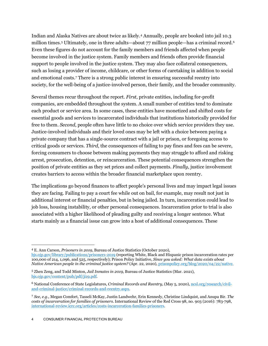Indian and Alaska Natives are about twice as likely.[4](#page-4-0) Annually, people are booked into jail 10.3 million times.[5](#page-4-1) Ultimately, one in three adults—about 77 million people—has a criminal record.[6](#page-4-2) Even these figures do not account for the family members and friends affected when people become involved in the justice system. Family members and friends often provide financial support to people involved in the justice system. They may also face collateral consequences, such as losing a provider of income, childcare, or other forms of caretaking in addition to social and emotional costs. [7](#page-4-3) There is a strong public interest in ensuring successful reentry into society, for the well-being of a justice-involved person, their family, and the broader community.

Several themes recur throughout the report. *First*, private entities, including for-profit companies, are embedded throughout the system. A small number of entities tend to dominate each product or service area. In some cases, these entities have monetized and shifted costs for essential goods and services to incarcerated individuals that institutions historically provided for free to them. *Second*, people often have little to no choice over which service providers they use. Justice-involved individuals and their loved ones may be left with a choice between paying a private company that has a single-source contract with a jail or prison, or foregoing access to critical goods or services. *Third*, the consequences of failing to pay fines and fees can be severe, forcing consumers to choose between making payments they may struggle to afford and risking arrest, prosecution, detention, or reincarceration. These potential consequences strengthen the position of private entities as they set prices and collect payments. *Finally*, justice involvement creates barriers to access within the broader financial marketplace upon reentry.

The implications go beyond finances to affect people's personal lives and may impact legal issues they are facing. Failing to pay a court fee while out on bail, for example, may result not just in additional interest or financial penalties, but in being jailed. In turn, incarceration could lead to job loss, housing instability, or other personal consequences. Incarceration prior to trial is also associated with a higher likelihood of pleading guilty and receiving a longer sentence. What starts mainly as a financial issue can grow into a host of additional consequences. These

<span id="page-4-0"></span><sup>4</sup> E. Ann Carson, *Prisoners in 2019*, Bureau of Justice Statistics (October 2020),

[bjs.ojp.gov/library/publications/prisoners-2019](https://bjs.ojp.gov/library/publications/prisoners-2019) (reporting White, Black and Hispanic prison incarceration rates per 100,000 of 214, 1,096, and 525, respectively); Prison Policy Initiative, *Since you asked: What data exists about Native American people in the criminal justice system?* (Apr. 22, 2020), [prisonpolicy.org/blog/2020/04/22/native.](http://www.prisonpolicy.org/blog/2020/04/22/native.)

<span id="page-4-1"></span><sup>5</sup> Zhen Zeng, and Todd Minton, *Jail Inmates in 2019,* Bureau of Justice Statistics (Mar. 2021), [bjs.ojp.gov/content/pub/pdf/ji19.pdf.](https://bjs.ojp.gov/content/pub/pdf/ji19.pdf) 

<span id="page-4-2"></span><sup>6</sup> National Conference of State Legislatures, *Criminal Records and Reentry*, (May 5, 2020)[, ncsl.org/research/civil](http://www.ncsl.org/research/civil-and-criminal-justice/criminal-records-and-reentry.aspx)[and-criminal-justice/criminal-records-and-reentry.aspx.](http://www.ncsl.org/research/civil-and-criminal-justice/criminal-records-and-reentry.aspx)

<span id="page-4-3"></span><sup>7</sup> *See*, *e.g.,* Megan Comfort, Tasseli McKay, Justin Landwehr, Erin Kennedy, Christine Lindquist, and Anupa Bir. *The costs of incarceration for families of prisoners*. International Review of the Red Cross 98, no. 903 (2016): 783-798, [international-review.icrc.org/articles/costs-incarceration-families-prisoners.](https://international-review.icrc.org/articles/costs-incarceration-families-prisoners)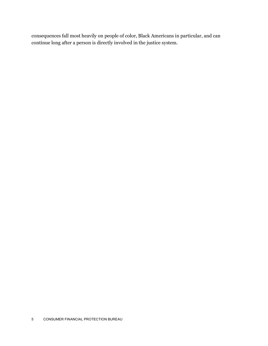consequences fall most heavily on people of color, Black Americans in particular, and can continue long after a person is directly involved in the justice system.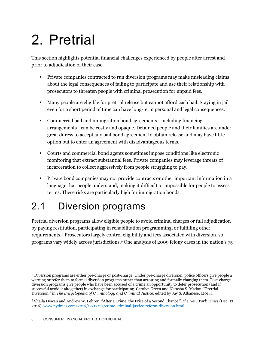## <span id="page-6-0"></span>2. Pretrial

This section highlights potential financial challenges experienced by people after arrest and prior to adjudication of their case.

- Private companies contracted to run diversion programs may make misleading claims about the legal consequences of failing to participate and use their relationship with prosecutors to threaten people with criminal prosecution for unpaid fees.
- Many people are eligible for pretrial release but cannot afford cash bail. Staying in jail even for a short period of time can have long-term personal and legal consequences.
- Commercial bail and immigration bond agreements—including financing arrangements—can be costly and opaque. Detained people and their families are under great duress to accept any bail bond agreement to obtain release and may have little option but to enter an agreement with disadvantageous terms.
- Courts and commercial bond agents sometimes impose conditions like electronic monitoring that extract substantial fees. Private companies may leverage threats of incarceration to collect aggressively from people struggling to pay.
- Private bond companies may not provide contracts or other important information in a language that people understand, making it difficult or impossible for people to assess terms. These risks are particularly high for immigration bonds.

## <span id="page-6-1"></span>2.1 Diversion programs

Pretrial diversion programs allow eligible people to avoid criminal charges or full adjudication by paying restitution, participating in rehabilitation programming, or fulfilling other requirements.[8](#page-6-2) Prosecutors largely control eligibility and fees associated with diversion, so programs vary widely across jurisdictions[.9](#page-6-3) One analysis of 2009 felony cases in the nation's 75

<span id="page-6-2"></span><sup>8</sup> Diversion programs are either pre-charge or post-charge. Under pre-charge diversion, police officers give people a warning or refer them to formal diversion programs rather than arresting and formally charging them. Post-charge diversion programs give people who have been accused of a crime an opportunity to defer prosecution (and if successful avoid it altogether) in exchange for participating. Carolyn Green and Natasha S. Madon, "Pretrial Diversion," in *The Encyclopedia of Criminology and Criminal Justice*, edited by Jay S. Albanese, (2014).

<span id="page-6-3"></span><sup>9</sup> Shaila Dewan and Andrew W. Lehren, "After a Crime, the Price of a Second Chance," *The New York Times* (Dec. 12, 2016)[, www.nytimes.com/2016/12/12/us/crime-criminal-justice-reform-diversion.html.](http://www.nytimes.com/2016/12/12/us/crime-criminal-justice-reform-diversion.html)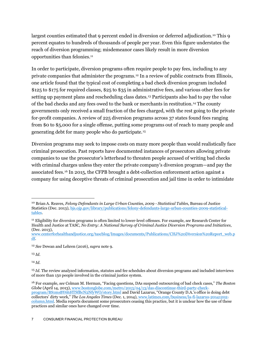largest counties estimated that 9 percent ended in diversion or deferred adjudication.<sup>[10](#page-7-0)</sup> This 9 percent equates to hundreds of thousands of people per year. Even this figure understates the reach of diversion programming; misdemeanor cases likely result in more diversion opportunities than felonies.<sup>[11](#page-7-1)</sup>

In order to participate, diversion programs often require people to pay fees, including to any private companies that administer the programs.[12](#page-7-2) In a review of public contracts from Illinois, one article found that the typical cost of completing a bad check diversion program included \$125 to \$175 for required classes, \$25 to \$35 in administrative fees, and various other fees for setting up payment plans and rescheduling class dates.[13](#page-7-3) Participants also had to pay the value of the bad checks and any fees owed to the bank or merchants in restitution.[14](#page-7-4) The county governments only received a small fraction of the fees charged, with the rest going to the private for-profit companies. A review of 225 diversion programs across 37 states found fees ranging from \$0 to \$5,000 for a single offense, putting some programs out of reach to many people and generating debt for many people who do participate.[15](#page-7-5)

Diversion programs may seek to impose costs on many more people than would realistically face criminal prosecution. Past reports have documented instances of prosecutors allowing private companies to use the prosecutor's letterhead to threaten people accused of writing bad checks with criminal charges unless they enter the private company's diversion program—and pay the associated fees.[16](#page-7-6) In 2015, the CFPB brought a debt-collection enforcement action against a company for using deceptive threats of criminal prosecution and jail time in order to intimidate

<span id="page-7-4"></span><span id="page-7-3"></span><sup>13</sup> *Id*.

<span id="page-7-0"></span><sup>10</sup> Brian A. Reaves, *Felony Defendants in Large Urban Counties, 2009 - Statistical Table*s, Bureau of Justice Statistics (Dec. 2013)[, bjs.ojp.gov/library/publications/felony-defendants-large-urban-counties-2009-statistical](https://bjs.ojp.gov/library/publications/felony-defendants-large-urban-counties-2009-statistical-tables)[tables.](https://bjs.ojp.gov/library/publications/felony-defendants-large-urban-counties-2009-statistical-tables)

<span id="page-7-1"></span><sup>11</sup> Eligibility for diversion programs is often limited to lower-level offenses. For example, *see* Research Center for Health and Justice at TASC, *No Entry: A National Survey of Criminal Justice Diversion Programs and Initiatives*, (Dec. 2013),

[www.centerforhealthandjustice.org/tascblog/Images/documents/Publications/CHJ%20Diversion%20Report\\_web.p](http://www.centerforhealthandjustice.org/tascblog/Images/documents/Publications/CHJ%20Diversion%20Report_web.pdf) [df.](http://www.centerforhealthandjustice.org/tascblog/Images/documents/Publications/CHJ%20Diversion%20Report_web.pdf)

<span id="page-7-2"></span><sup>12</sup> *See* Dewan and Lehren (2016), *supra* note 9.

<span id="page-7-5"></span><sup>15</sup> *Id*. The review analyzed information, statutes and fee schedules about diversion programs and included interviews of more than 150 people involved in the criminal justice system.

<span id="page-7-6"></span><sup>16</sup> For example, *see* Colman M. Herman, "Facing questions, DAs suspend outsourcing of bad check cases," *The Boston Globe* (April 14, 2013), [www.bostonglobe.com/metro/2013/04/13/das-discontinue-third-party-check](http://www.bostonglobe.com/metro/2013/04/13/das-discontinue-third-party-check-program/BS1msBY6hHTSfBcN2NfyWO/story.html)[program/BS1msBY6hHTSfBcN2NfyWO/story.html](http://www.bostonglobe.com/metro/2013/04/13/das-discontinue-third-party-check-program/BS1msBY6hHTSfBcN2NfyWO/story.html) and David Lazarus, "Orange County D.A.'s office is doing debt collectors' dirty work," *The Los Angeles Times* (Dec. 1, 2014)[, www.latimes.com/business/la-fi-lazarus-20141202](http://www.latimes.com/business/la-fi-lazarus-20141202-column.html) [column.html.](http://www.latimes.com/business/la-fi-lazarus-20141202-column.html) Media reports document some prosecutors ceasing this practice, but it is unclear how the use of these practices and similar ones have changed over time.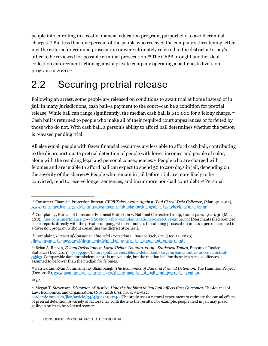people into enrolling in a costly financial education program, purportedly to avoid criminal charges.[17](#page-8-1) But less than one percent of the people who received the company's threatening letter met the criteria for criminal prosecution or were ultimately referred to the district attorney's office to be reviewed for possible criminal prosecution[.18](#page-8-2) The CFPB brought another debtcollection enforcement action against a private company operating a bad-check diversion program in 2020[.19](#page-8-3)

### <span id="page-8-0"></span>2.2 Securing pretrial release

Following an arrest, some people are released on conditions to await trial at home instead of in jail. In many jurisdictions, cash bail–a payment to the court–can be a condition for pretrial release. While bail can range significantly, the median cash bail is \$10,000 for a felony charge.<sup>[20](#page-8-4)</sup> Cash bail is returned to people who make all of their required court appearances or forfeited by those who do not. With cash bail, a person's ability to afford bail determines whether the person is released pending trial.

All else equal, people with fewer financial resources are less able to afford cash bail, contributing to the disproportionate pretrial detention of people with lower incomes and people of color, along with the resulting legal and personal consequences.<sup>[21](#page-8-5)</sup> People who are charged with felonies and are unable to afford bail can expect to spend 50 to 200 days in jail, depending on the severity of the charge.[22](#page-8-6) People who remain in jail before trial are more likely to be convicted, tend to receive longer sentences, and incur more non-bail court debt.[23](#page-8-7) Personal

<span id="page-8-1"></span><sup>17</sup> Consumer Financial Protection Bureau, *CFPB Takes Action Against "Bad Check" Debt Collector*, (Mar. 30, 2015), [www.consumerfinance.gov/about-us/newsroom/cfpb-takes-action-against-bad-check-debt-collector.](http://www.consumerfinance.gov/about-us/newsroom/cfpb-takes-action-against-bad-check-debt-collector)

<span id="page-8-2"></span><sup>18</sup> Complaint, , Bureau of Consumer Financial Protection v. National Corrective Group, Inc. at para. 19-20, 30 (Mar. 2015)[, files.consumerfinance.gov/f/201503\\_cfpb\\_complaint-national-corrective-group.pdf](http://files.consumerfinance.gov/f/201503_cfpb_complaint-national-corrective-group.pdf) [Merchants filed bounced check reports directly with the private company, who sent notices threatening prosecution unless a person enrolled in a diversion program without consulting the district attorney.].

<span id="page-8-3"></span><sup>19</sup> Complaint, *Bureau of Consumer Financial Protection v. BounceBack, Inc*. (Dec. 12, 2020), [files.consumerfinance.gov/f/documents/cfpb\\_bounceback-inc\\_complaint\\_2020-12.pdf.](https://files.consumerfinance.gov/f/documents/cfpb_bounceback-inc_complaint_2020-12.pdf)

<span id="page-8-4"></span><sup>20</sup> Brian A. Reaves, *Felony Defendants in Large Urban Counties, 2009 - Statistical Table*s, Bureau of Justice Statistics (Dec. 2013)[, bjs.ojp.gov/library/publications/felony-defendants-large-urban-counties-2009-statistical](https://bjs.ojp.gov/library/publications/felony-defendants-large-urban-counties-2009-statistical-tables)[tables.](https://bjs.ojp.gov/library/publications/felony-defendants-large-urban-counties-2009-statistical-tables) Comparable data for misdemeanors is unavailable, but the median bail for these less serious offenses is assumed to be lower than the median for felonies.

<span id="page-8-5"></span><sup>21</sup> Patrick Liu, Ryan Nunn, and Jay Shambaugh, *The Economics of Bail and Pretrial Detention*, The Hamilton Project (Dec. 2018)[, www.hamiltonproject.org/papers/the\\_economics\\_of\\_bail\\_and\\_pretrial\\_detention.](http://www.hamiltonproject.org/papers/the_economics_of_bail_and_pretrial_detention)

<span id="page-8-7"></span><span id="page-8-6"></span><sup>23</sup> Megan T. Stevenson, *Distortion of Justice: How the Inability to Pay Bail Affects Case Outcomes*, The Journal of Law, Economics, and Organization, (Nov. 2018), 34, no. 4: 511-542,

[academic.oup.com/jleo/article/34/4/511/5100740.](https://academic.oup.com/jleo/article/34/4/511/5100740) The study uses a natural experiment to estimate the causal effects of pretrial detention. A variety of factors may contribute to the results. For example, people held in jail may plead guilty in order to be released sooner.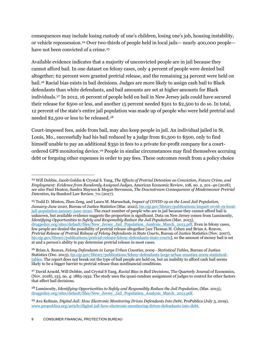consequences may include losing custody of one's children, losing one's job, housing instability, or vehicle repossession.[24](#page-9-0) Over two-thirds of people held in local jails— nearly 400,000 people— have not been convicted of a crime.<sup>[25](#page-9-1)</sup>

Available evidence indicates that a majority of unconvicted people are in jail because they cannot afford bail. In one dataset on felony cases, only 4 percent of people were denied bail altogether; 62 percent were granted pretrial release, and the remaining 34 percent were held on bail.[26](#page-9-2) Racial bias exists in bail decisions. Judges are more likely to assign cash bail to Black defendants than white defendants, and bail amounts are set at higher amounts for Black individuals.[27](#page-9-3) In 2012, 16 percent of people held on bail in New Jersey jails could have secured their release for \$500 or less, and another 15 percent needed \$501 to \$2,500 to do so. In total, 12 percent of the state's entire jail population was made up of people who were held pretrial and needed \$2,500 or less to be released.[28](#page-9-4)

Court-imposed fees, aside from bail, may also keep people in jail. An individual jailed in St. Louis, Mo., successfully had his bail reduced by a judge from \$1,500 to \$500, only to find himself unable to pay an additional \$350 in fees to a private for-profit company for a courtordered GPS monitoring device.[29](#page-9-5) People in similar circumstances may find themselves accruing debt or forgoing other expenses in order to pay fees. These outcomes result from a policy choice

<span id="page-9-1"></span><sup>25</sup> Todd D. Minton, Zhen Zeng, and Laura M. Maruschak, *Impact of COVID-19 on the Local Jail Population, January-June 2020*, Bureau of Justice Statistics (Mar. 2021)[, bjs.ojp.gov/library/publications/impact-covid-19-local](https://bjs.ojp.gov/library/publications/impact-covid-19-local-jail-population-january-june-2020)[jail-population-january-june-2020.](https://bjs.ojp.gov/library/publications/impact-covid-19-local-jail-population-january-june-2020) The exact number of people who are in jail because they cannot afford bail is unknown, but available evidence suggests the proportion is significant. Data on New Jersey comes from Luminosity, *Identifying Opportunities to Safely and Responsibly Reduce the Jail Population* (Mar. 2013), [drugpolicy.org/sites/default/files/New\\_Jersey\\_Jail\\_Population\\_Analysis\\_March\\_2013.pdf.](https://drugpolicy.org/sites/default/files/New_Jersey_Jail_Population_Analysis_March_2013.pdf) Even in felony cases, few people are denied the possibility of pretrial release altogether [*see* Thomas H. Cohen and Brian A. Reaves, *Pretrial Release of Pretrial Release of Felony Defendants in State Courts*, Bureau of Justice Statistics (Nov. 2007), [bjs.ojp.gov/library/publications/pretrial-release-felony-defendants-state-courts\]](https://bjs.ojp.gov/library/publications/pretrial-release-felony-defendants-state-courts), so the amount of money bail is set at and a person's ability to pay determine pretrial release in most cases.

<span id="page-9-3"></span><sup>27</sup> David Arnold, Will Dobbie, and Crystal S Yang, *Racial Bias in Bail Decisions*, The Quarterly Journal of Economics*,*  (Nov. 2018), 133, no. 4: 1885-1932. The study uses the quasi-random assignment of judges to control for other factors that affect bail decisions.

<span id="page-9-4"></span><sup>28</sup> Luminosity, *Identifying Opportunities to Safely and Responsibly Reduce the Jail Population*, (Mar. 2013), [drugpolicy.org/sites/default/files/New\\_Jersey\\_Jail\\_Population\\_Analysis\\_March\\_2013.pdf.](https://drugpolicy.org/sites/default/files/New_Jersey_Jail_Population_Analysis_March_2013.pdf)

<span id="page-9-5"></span><sup>29</sup> Ava Kofman, *Digital Jail: How Electronic Monitoring Drives Defendants Into Debt*, ProPublica (July 3, 2019), [www.propublica.org/article/digital-jail-how-electronic-monitoring-drives-defendants-into-debt.](https://www.propublica.org/article/digital-jail-how-electronic-monitoring-drives-defendants-into-debt)

<span id="page-9-0"></span><sup>24</sup> Will Dobbie, Jacob Goldin & Crystal S. Yang, *The Effects of Pretrial Detention on Conviction, Future Crime, and Employment: Evidence from Randomly Assigned Judges*, American Economic Review, 108, no. 2, 201–40 (2018); *see also* Paul Heaton, Sandra Mayson & Megan Stevenson, *The Downstream Consequences of Misdemeanor Pretrial Detention*, 69 Stanford Law Review. 711 (2017).

<span id="page-9-2"></span><sup>26</sup> Brian A. Reaves, *Felony Defendants in Large Urban Counties, 2009 - Statistical Table*s, Bureau of Justice Statistics (Dec. 2013)[, bjs.ojp.gov/library/publications/felony-defendants-large-urban-counties-2009-statistical](https://bjs.ojp.gov/library/publications/felony-defendants-large-urban-counties-2009-statistical-tables)[tables.](https://bjs.ojp.gov/library/publications/felony-defendants-large-urban-counties-2009-statistical-tables) The report does not break out the type of bail people are held on, but an inability to afford cash bail seems likely to be a bigger barrier to pretrial release than nonfinancial conditions.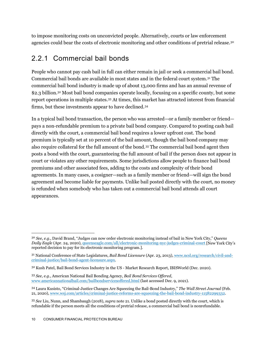to impose monitoring costs on unconvicted people. Alternatively, courts or law enforcement agencies could bear the costs of electronic monitoring and other conditions of pretrial release.[30](#page-10-0)

#### 2.2.1 Commercial bail bonds

People who cannot pay cash bail in full can either remain in jail or seek a commercial bail bond. Commercial bail bonds are available in most states and in the federal court system.[31](#page-10-1) The commercial bail bond industry is made up of about 13,000 firms and has an annual revenue of \$2.3 billion[.32](#page-10-2) Most bail bond companies operate locally, focusing on a specific county, but some report operations in multiple states.[33](#page-10-3) At times, this market has attracted interest from financial firms, but these investments appear to have declined.[34](#page-10-4)

In a typical bail bond transaction, the person who was arrested—or a family member or friend pays a non-refundable premium to a private bail bond company. Compared to posting cash bail directly with the court, a commercial bail bond requires a lower upfront cost. The bond premium is typically set at 10 percent of the bail amount, though the bail bond company may also require collateral for the full amount of the bond.[35](#page-10-5) The commercial bail bond agent then posts a bond with the court, guaranteeing the full amount of bail if the person does not appear in court or violates any other requirements. Some jurisdictions allow people to finance bail bond premiums and other associated fees, adding to the costs and complexity of their bond agreements*.* In many cases, a cosigner—such as a family member or friend—will sign the bond agreement and become liable for payments. Unlike bail posted directly with the court, no money is refunded when somebody who has taken out a commercial bail bond attends all court appearances.

<span id="page-10-0"></span><sup>30</sup> *See*, *e.g.,* David Brand, "Judges can now order electronic monitoring instead of bail in New York City," *Queens Daily Eagle* (Apr. 24, 2020)[, queenseagle.com/all/electronic-monitoring-nyc-judges-criminal-court](https://queenseagle.com/all/electronic-monitoring-nyc-judges-criminal-court) [New York City's reported decision to pay for its electronic monitoring program.].

<span id="page-10-1"></span><sup>31</sup> National Conference of State Legislatures, *Bail Bond Licensure* (Apr. 23, 2013)[, www.ncsl.org/research/civil-and](http://www.ncsl.org/research/civil-and-criminal-justice/bail-bond-agent-licensure.aspx)[criminal-justice/bail-bond-agent-licensure.aspx.](http://www.ncsl.org/research/civil-and-criminal-justice/bail-bond-agent-licensure.aspx)

<span id="page-10-2"></span><sup>32</sup> Kush Patel, Bail Bond Services Industry in the US - Market Research Report, IBISWorld (Dec. 2020).

<span id="page-10-3"></span><sup>33</sup> *See*, *e.g.,* American National Bail Bonding Agency, *Bail Bond Services Offered*, [www.americannationalbail.com/bailbondservicesoffered.html](http://www.americannationalbail.com/bailbondservicesoffered.html) (last accessed Dec. 9, 2021).

<span id="page-10-4"></span><sup>34</sup> Laura Kusisto, "Criminal-Justice Changes Are Squeezing the Bail-Bond Industry," *The Wall Street Journal* (Feb. 21, 2020)[, www.wsj.com/articles/criminal-justice-reforms-are-squeezing-the-bail-bond-industry-11582299332.](http://www.wsj.com/articles/criminal-justice-reforms-are-squeezing-the-bail-bond-industry-11582299332)

<span id="page-10-5"></span><sup>35</sup> *See* Liu, Nunn, and Shambaugh (2018), *supra* note 21. Unlike a bond posted directly with the court, which is refundable if the person meets all the conditions of pretrial release, a commercial bail bond is nonrefundable.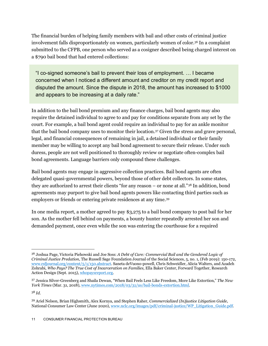The financial burden of helping family members with bail and other costs of criminal justice involvement falls disproportionately on women, particularly women of color[.36](#page-11-0) In a complaint submitted to the CFPB, one person who served as a cosigner described being charged interest on a \$790 bail bond that had entered collections:

"I co-signed someone's bail to prevent their loss of employment. … I became concerned when I noticed a different amount and creditor on my credit report and disputed the amount. Since the dispute in 2018, the amount has increased to \$1000 and appears to be increasing at a daily rate."

In addition to the bail bond premium and any finance charges, bail bond agents may also require the detained individual to agree to and pay for conditions separate from any set by the court. For example, a bail bond agent could require an individual to pay for an ankle monitor that the bail bond company uses to monitor their location. [37](#page-11-1) Given the stress and grave personal, legal, and financial consequences of remaining in jail, a detained individual or their family member may be willing to accept any bail bond agreement to secure their release. Under such duress, people are not well positioned to thoroughly review or negotiate often-complex bail bond agreements. Language barriers only compound these challenges.

Bail bond agents may engage in aggressive collection practices. Bail bond agents are often delegated quasi-governmental powers, beyond those of other debt collectors. In some states, they are authorized to arrest their clients "for any reason – or none at all."[38](#page-11-2) In addition, bond agreements may purport to give bail bond agents powers like contacting third parties such as employers or friends or entering private residences at any time[.39](#page-11-3)

In one media report, a mother agreed to pay \$3,275 to a bail bond company to post bail for her son. As the mother fell behind on payments, a bounty hunter repeatedly arrested her son and demanded payment, once even while the son was entering the courthouse for a required

<span id="page-11-0"></span><sup>36</sup> Joshua Page, Victoria Piehowski and Joe Soss: *A Debt of Care: Commercial Bail and the Gendered Logic of Criminal Justice Predation*, The Russell Sage Foundation Journal of the Social Sciences, 5, no. 1, (Feb 2019): 150-172, [www.rsfjournal.org/content/5/1/150.abstract.](http://www.rsfjournal.org/content/5/1/150.abstract) Saneta deVuono-powell, Chris Schweidler, Alicia Walters, and Azadeh Zohrabi, *Who Pays? The True Cost of Incarceration on Families*, Ella Baker Center, Forward Together, Research Action Design (Sept. 2015)[, whopaysreport.org.](http://whopaysreport.org/)

<span id="page-11-1"></span><sup>37</sup> Jessica Silver-Greenberg and Shaila Dewan, "When Bail Feels Less Like Freedom, More Like Extortion," *The New York Times* (Mar. 31, 2018), [www.nytimes.com/2018/03/31/us/bail-bonds-extortion.html.](http://www.nytimes.com/2018/03/31/us/bail-bonds-extortion.html)

<span id="page-11-3"></span><span id="page-11-2"></span><sup>39</sup> Ariel Nelson, Brian Highsmith, Alex Kornya, and Stephen Raher, *Commercialized (In)justice Litigation Guide*, National Consumer Law Center (June 2020), [www.nclc.org/images/pdf/criminal-justice/WP\\_Litigation\\_Guide.pdf.](https://www.nclc.org/images/pdf/criminal-justice/WP_Litigation_Guide.pdf)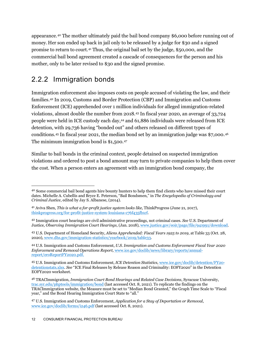appearance.[40](#page-12-0) The mother ultimately paid the bail bond company \$6,000 before running out of money. Her son ended up back in jail only to be released by a judge for \$30 and a signed promise to return to court.[41](#page-12-1) Thus, the original bail set by the judge, \$50,000, and the commercial bail bond agreement created a cascade of consequences for the person and his mother, only to be later revised to \$30 and the signed promise.

### 2.2.2 Immigration bonds

Immigration enforcement also imposes costs on people accused of violating the law, and their families.[42](#page-12-2) In 2019, Customs and Border Protection (CBP) and Immigration and Customs Enforcement (ICE) apprehended over 1 million individuals for alleged immigration-related violations, almost double the number from 2018.[43](#page-12-3) In fiscal year 2020, an average of 33,724 people were held in ICE custody each day,[44](#page-12-4) and 61,886 individuals were released from ICE detention, with 29,736 having "bonded out" and others released on different types of conditions.[45](#page-12-5) In fiscal year 2021, the median bond set by an immigration judge was \$7,000.[46](#page-12-6) The minimum immigration bond is \$1,500.[47](#page-12-7)

Similar to bail bonds in the criminal context, people detained on suspected immigration violations and ordered to post a bond amount may turn to private companies to help them cover the cost. When a person enters an agreement with an immigration bond company, the

<span id="page-12-0"></span><sup>40</sup> Some commercial bail bond agents hire bounty hunters to help them find clients who have missed their court dates. Michelle A. Cubellis and Bryce E. Peterson, "Bail Bondsmen," in *The Encyclopedia of Criminology and Criminal Justice*, edited by Jay S. Albanese, (2014).

<span id="page-12-1"></span><sup>41</sup> Aviva Shen, *This is what a for-profit justice system looks like,* ThinkProgress (June 21, 2017), [thinkprogress.org/for-profit-justice-system-louisiana-c76f435fb1cf.](https://thinkprogress.org/for-profit-justice-system-louisiana-c76f435fb1cf/) 

<span id="page-12-2"></span><sup>42</sup> Immigration court hearings are civil administrative proceedings, not criminal cases. *See* U.S. Department of Justice*, Observing Immigration Court Hearings*, (Jan. 2018), [www.justice.gov/eoir/page/file/941991/download.](http://www.justice.gov/eoir/page/file/941991/download)

<span id="page-12-3"></span><sup>43</sup> U.S. Department of Homeland Security, *Aliens Apprehended: Fiscal Years 1925 to 2019*, at Table 33 (Oct. 28, 2020), [www.dhs.gov/immigration-statistics/yearbook/2019/table33.](http://www.dhs.gov/immigration-statistics/yearbook/2019/table33)

<span id="page-12-4"></span><sup>44</sup> U.S. Immigration and Customs Enforcement, *U.S. Immigration and Customs Enforcement Fiscal Year 2020 Enforcement and Removal Operations Report,* [www.ice.gov/doclib/news/library/reports/annual](http://www.ice.gov/doclib/news/library/reports/annual-report/eroReportFY2020.pdf)[report/eroReportFY2020.pdf.](http://www.ice.gov/doclib/news/library/reports/annual-report/eroReportFY2020.pdf)

<span id="page-12-5"></span><sup>45</sup> U.S. Immigration and Customs Enforcement, *ICE Detention Statistics*, [www.ice.gov/doclib/detention/FY20](http://www.ice.gov/doclib/detention/FY20-detentionstats.xlsx) [detentionstats.xlsx.](http://www.ice.gov/doclib/detention/FY20-detentionstats.xlsx) *See* "ICE Final Releases by Release Reason and Criminality: EOFY2020" in the Detention EOFY2020 worksheet.

<span id="page-12-6"></span><sup>46</sup> TRACImmigration, *Immigration Court Bond Hearings and Related Case Decisions*, Syracuse University, [trac.syr.edu/phptools/immigration/bond](https://trac.syr.edu/phptools/immigration/bond) (last accessed Oct. 8, 2021). To replicate the findings on the TRACImmigration website, the Measure must be set to "Median Bond Granted," the Graph Time Scale to "Fiscal year," and the Bond Hearing Immigration Court State to "all."

<span id="page-12-7"></span><sup>47</sup> U.S. Immigration and Customs Enforcement, *Application for a Stay of Deportation or Removal*, [www.ice.gov/doclib/forms/i246.pdf](http://www.ice.gov/doclib/forms/i246.pdf) (last accessed Oct. 8, 2021).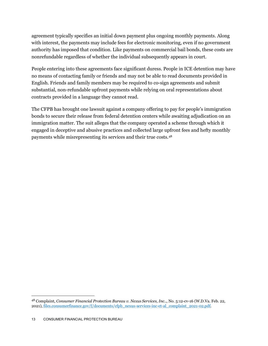agreement typically specifies an initial down payment plus ongoing monthly payments. Along with interest, the payments may include fees for electronic monitoring, even if no government authority has imposed that condition. Like payments on commercial bail bonds, these costs are nonrefundable regardless of whether the individual subsequently appears in court.

People entering into these agreements face significant duress. People in ICE detention may have no means of contacting family or friends and may not be able to read documents provided in English. Friends and family members may be required to co-sign agreements and submit substantial, non-refundable upfront payments while relying on oral representations about contracts provided in a language they cannot read.

The CFPB has brought one lawsuit against a company offering to pay for people's immigration bonds to secure their release from federal detention centers while awaiting adjudication on an immigration matter. The suit alleges that the company operated a scheme through which it engaged in deceptive and abusive practices and collected large upfront fees and hefty monthly payments while misrepresenting its services and their true costs[.48](#page-13-0)

<span id="page-13-0"></span><sup>48</sup> Complaint, *Consumer Financial Protection Bureau v. Nexus Services, Inc..*, No. 5:12-cv-16 (W.D.Va. Feb. 22, 2021)[, files.consumerfinance.gov/f/documents/cfpb\\_nexus-services-inc-et-al\\_complaint\\_2021-02.pdf.](https://files.consumerfinance.gov/f/documents/cfpb_nexus-services-inc-et-al_complaint_2021-02.pdf)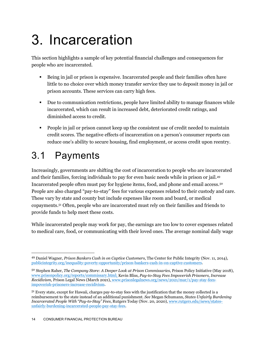## <span id="page-14-0"></span>3. Incarceration

This section highlights a sample of key potential financial challenges and consequences for people who are incarcerated.

- Being in jail or prison is expensive. Incarcerated people and their families often have little to no choice over which money transfer service they use to deposit money in jail or prison accounts. These services can carry high fees.
- Due to communication restrictions, people have limited ability to manage finances while incarcerated, which can result in increased debt, deteriorated credit ratings, and diminished access to credit.
- People in jail or prison cannot keep up the consistent use of credit needed to maintain credit scores. The negative effects of incarceration on a person's consumer reports can reduce one's ability to secure housing, find employment, or access credit upon reentry.

## <span id="page-14-1"></span>3.1 Payments

Increasingly, governments are shifting the cost of incarceration to people who are incarcerated and their families, forcing individuals to pay for even basic needs while in prison or jail. [49](#page-14-2) Incarcerated people often must pay for hygiene items, food, and phone and email access.[50](#page-14-3) People are also charged "pay-to-stay" fees for various expenses related to their custody and care. These vary by state and county but include expenses like room and board, or medical copayments.[51](#page-14-4) Often, people who are incarcerated must rely on their families and friends to provide funds to help meet these costs.

While incarcerated people may work for pay, the earnings are too low to cover expenses related to medical care, food, or communicating with their loved ones. The average nominal daily wage

<span id="page-14-2"></span><sup>49</sup> Daniel Wagner, *Prison Bankers Cash in on Captive Customers*, The Center for Public Integrity (Nov. 11, 2014), [publicintegrity.org/inequality-poverty-opportunity/prison-bankers-cash-in-on-captive-customers.](https://publicintegrity.org/inequality-poverty-opportunity/prison-bankers-cash-in-on-captive-customers)

<span id="page-14-3"></span><sup>50</sup> Stephen Raher, *The Company Store: A Deeper Look at Prison Commissaries*, Prison Policy Initiative (May 2018), [www.prisonpolicy.org/reports/commissary.html;](http://www.prisonpolicy.org/reports/commissary.html) Kevin Bliss, *Pay-to-Stay Fees Impoverish Prisoners, Increase Recidivism*, Prison Legal News (March 2021), [www.prisonlegalnews.org/news/2021/mar/1/pay-stay-fees](http://www.prisonlegalnews.org/news/2021/mar/1/pay-stay-fees-impoverish-prisoners-increase-recidivism)[impoverish-prisoners-increase-recidivism.](http://www.prisonlegalnews.org/news/2021/mar/1/pay-stay-fees-impoverish-prisoners-increase-recidivism)

<span id="page-14-4"></span><sup>51</sup> Every state, except for Hawaii, charges pay-to-stay fees with the justification that the money collected is a reimbursement to the state instead of an additional punishment. *See* Megan Schumann, *States Unfairly Burdening Incarcerated People With "Pay-to-Stay" Fees*, Rutgers Today (Nov. 20, 2020), [www.rutgers.edu/news/states](https://www.rutgers.edu/news/states-unfairly-burdening-incarcerated-people-pay-stay-fees)[unfairly-burdening-incarcerated-people-pay-stay-fees.](https://www.rutgers.edu/news/states-unfairly-burdening-incarcerated-people-pay-stay-fees)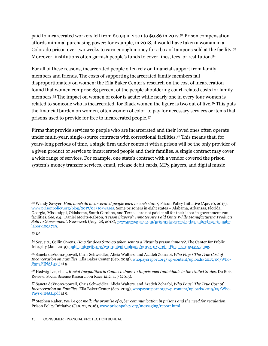paid to incarcerated workers fell from \$0.93 in 2001 to \$0.86 in 2017.[52](#page-15-0) Prison compensation affords minimal purchasing power; for example, in 2018, it would have taken a woman in a Colorado prison over two weeks to earn enough money for a box of tampons sold at the facility.[53](#page-15-1) Moreover, institutions often garnish people's funds to cover fines, fees, or restitution.[54](#page-15-2)

For all of these reasons, incarcerated people often rely on financial support from family members and friends. The costs of supporting incarcerated family members fall disproportionately on women: the Ella Baker Center's research on the cost of incarceration found that women comprise 83 percent of the people shouldering court-related costs for family members.[55](#page-15-3) The impact on women of color is acute: while nearly one in every four women is related to someone who is incarcerated, for Black women the figure is two out of five.[56](#page-15-4) This puts the financial burden on women, often women of color,to pay for necessary services or items that prisons used to provide for free to incarcerated people.[57](#page-15-5)

Firms that provide services to people who are incarcerated and their loved ones often operate under multi-year, single-source contracts with correctional facilities[.58](#page-15-6) This means that, for years-long periods of time, a single firm under contract with a prison will be the only provider of a given product or service to incarcerated people and their families. A single contract may cover a wide range of services. For example, one state's contract with a vendor covered the prison system's money transfer services, email, release debit cards, MP3 players, and digital music

<span id="page-15-0"></span><sup>52</sup> Wendy Sawyer, *How much do incarcerated people earn in each state?,* Prison Policy Initiative (Apr. 10, 2017), [www.prisonpolicy.org/blog/2017/04/10/wages.](https://www.prisonpolicy.org/blog/2017/04/10/wages/) Some prisoners in eight states – Alabama, Arkansas, Florida, Georgia, Mississippi, Oklahoma, South Carolina, and Texas – are not paid at all for their labor in government-run facilities. *See, e.g.,* Daniel Moritz-Rabson, *'Prison Slavery': Inmates Are Paid Cents While Manufacturing Products Sold to Government,* Newsweek (Aug. 28, 2018)[, www.newsweek.com/prison-slavery-who-benefits-cheap-inmate](http://www.newsweek.com/prison-slavery-who-benefits-cheap-inmate-labor-1093729)[labor-1093729.](http://www.newsweek.com/prison-slavery-who-benefits-cheap-inmate-labor-1093729)

<span id="page-15-2"></span><span id="page-15-1"></span><sup>54</sup> *See, e.g.*, Collin Owens, *How far does \$120 go when sent to a Virginia prison inmate?,* The Center for Public Integrity (Jan. 2019)[, publicintegrity.org/wp-content/uploads/2019/01/virginaFinal\\_5-1024x597.png.](https://publicintegrity.org/wp-content/uploads/2019/01/virginaFinal_5-1024x597.png)

<span id="page-15-3"></span><sup>55</sup> Saneta deVuono-powell, Chris Schweidler, Alicia Walters, and Azadeh Zohrabi, *Who Pays? The True Cost of Incarceration on Families*, Ella Baker Center (Sep. 2015), [whopaysreport.org/wp-content/uploads/2015/09/Who-](http://whopaysreport.org/wp-content/uploads/2015/09/Who-Pays-FINAL.pdf)[Pays-FINAL.pdf](http://whopaysreport.org/wp-content/uploads/2015/09/Who-Pays-FINAL.pdf) at 9.

<span id="page-15-4"></span><sup>56</sup> Hedwig Lee, et al., *Racial Inequalities in Connectedness to Imprisoned Individuals in the United States*, Du Bois Review: Social Science Research on Race 12.2, at 7 (2015).

<span id="page-15-5"></span><sup>57</sup> Saneta deVuono-powell, Chris Schweidler, Alicia Walters, and Azadeh Zohrabi, *Who Pays? The True Cost of Incarceration on Families*, Ella Baker Center (Sep. 2015), [whopaysreport.org/wp-content/uploads/2015/09/Who-](http://whopaysreport.org/wp-content/uploads/2015/09/Who-Pays-FINAL.pdf)[Pays-FINAL.pdf](http://whopaysreport.org/wp-content/uploads/2015/09/Who-Pays-FINAL.pdf) at 9.

<span id="page-15-6"></span><sup>58</sup> Stephen Raher, *You've got mail: the promise of cyber communication in prisons and the need for regulation*, Prison Policy Initiative (Jan. 21, 2016)[, www.prisonpolicy.org/messaging/report.html.](https://www.prisonpolicy.org/messaging/report.html)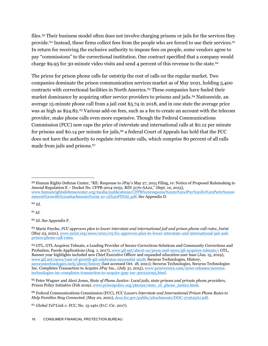files.[59](#page-16-0) Their business model often does not involve charging prisons or jails for the services they provide.<sup>[60](#page-16-1)</sup> Instead, these firms collect fees from the people who are forced to use their services.<sup>[61](#page-16-2)</sup> In return for receiving the exclusive authority to impose fees on people, some vendors agree to pay "commissions" to the correctional institution. One contract specified that a company would charge \$9.95 for 30-minute video visits and send 4 percent of this revenue to the state. [62](#page-16-3)

The prices for prison phone calls far outstrip the cost of calls on the regular market. Two companies dominate the prison communication services market as of May 2021, holding 5,400 contracts with correctional facilities in North America[.63](#page-16-4) These companies have fueled their market dominance by acquiring other service providers to prisons and jails.[64](#page-16-5) Nationwide, an average 15-minute phone call from a jail cost \$5.74 in 2018, and in one state the average price was as high as \$24.82.<sup>65</sup> Various add-on fees, such as a fee to create an account with the telecom provider, make phone calls even more expensive. Though the Federal Communications Commission (FCC) now caps the price of *inter*state and international calls at \$0.12 per minute for prisons and \$0.14 per minute for jails,<sup>[66](#page-16-7)</sup> a federal Court of Appeals has held that the FCC does not have the authority to regulate *intra*state calls, which comprise 80 percent of all calls made from jails and prisons. [67](#page-16-8)

<span id="page-16-1"></span><sup>60</sup> *Id*.

<span id="page-16-2"></span><sup>61</sup> *Id*.

<span id="page-16-3"></span><sup>62</sup> *Id*. *See* Appendix F.

<span id="page-16-4"></span><sup>63</sup> Marie Feyche, *FCC approves plan to lower interstate and international jail and prison phone call rates*, Jurist (May 23, 2021), [www.jurist.org/news/2021/05/fcc-approves-plan-to-lower-interstate-and-international-jail-and](http://www.jurist.org/news/2021/05/fcc-approves-plan-to-lower-interstate-and-international-jail-and-prison-phone-call-rates)[prison-phone-call-rates.](http://www.jurist.org/news/2021/05/fcc-approves-plan-to-lower-interstate-and-international-jail-and-prison-phone-call-rates)

<span id="page-16-5"></span><sup>64</sup> GTL, GTL Acquires Telmate, a Leading Provider of Secure Corrections Solutions and Community Corrections and Probation, Parole Applications (Aug. 1, 2017)[, www.gtl.net/about-us/press-and-news/gtl-acquires-telmate/;](http://www.gtl.net/about-us/press-and-news/gtl-acquires-telmate/) GTL, Banner year highlights included new Chief Executive Officer and expanded education user base (Jan. 15, 2019), [www.gtl.net/news/year-of-growth-gtl-celebrates-successful-2018;](http://www.gtl.net/news/year-of-growth-gtl-celebrates-successful-2018/) Securus Technologies, History, [securustechnologies.tech/about/history](https://securustechnologies.tech/about/history/) (last accessed Oct. 18, 2021); Securus Technologies, Securus Technologies Inc. Completes Transaction to Acquire JPay Inc., (July 31, 2015), [www.prnewswire.com/news-releases/securus](http://www.prnewswire.com/news-releases/securus-technologies-inc-completes-transaction-to-acquire-jpay-inc-300122095.html)[technologies-inc-completes-transaction-to-acquire-jpay-inc-300122095.html.](http://www.prnewswire.com/news-releases/securus-technologies-inc-completes-transaction-to-acquire-jpay-inc-300122095.html)

<span id="page-16-6"></span><sup>65</sup> Peter Wagner and Alexi Jones, *State of Phone Justice: Local jails, state prisons and private phone providers,*  Prison Policy Initiative (Feb 2019)[, www.prisonpolicy.org/phones/state\\_of\\_phone\\_justice.html.](https://www.prisonpolicy.org/phones/state_of_phone_justice.html)

<span id="page-16-7"></span><sup>66</sup> Federal Communications Commission (FCC), *FCC Lowers Interstate and International Prison Phone Rates to Help Families Stay Connected*, (May 20, 2021), [docs.fcc.gov/public/attachments/DOC-372625A1.pdf.](https://docs.fcc.gov/public/attachments/DOC-372625A1.pdf)

<span id="page-16-8"></span><sup>67</sup> *Global Tel\*Link v. FCC*, No. 15-1461 (D.C. Cir. 2017).

<span id="page-16-0"></span><sup>59</sup> Human Rights Defense Center, "RE: Response to JPay's May 27, 2015 Filing, re: Notice of Proposed Rulemaking to Amend Regulation E – Docket No. CFPB-2014-0031, RIN 3170-AA22," (Sept. 10, 2015), [www.humanrightsdefensecenter.org/media/publications/CFPB%20response%20to%20JPay%20Ex%20Parte%20co](http://www.humanrightsdefensecenter.org/media/publications/CFPB%20response%20to%20JPay%20Ex%20Parte%20comment%20with%20attachments%209-10-15%20FINAL.pdf) [mment%20with%20attachments%209-10-15%20FINAL.pdf.](http://www.humanrightsdefensecenter.org/media/publications/CFPB%20response%20to%20JPay%20Ex%20Parte%20comment%20with%20attachments%209-10-15%20FINAL.pdf) *See* Appendix D.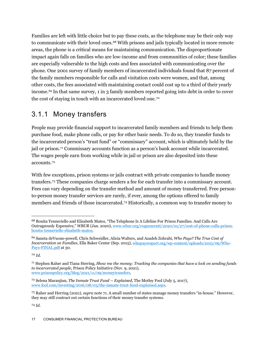Families are left with little choice but to pay these costs, as the telephone may be their only way to communicate with their loved ones.<sup>[68](#page-17-0)</sup> With prisons and jails typically located in more remote areas, the phone is a critical means for maintaining communication. The disproportionate impact again falls on families who are low-income and from communities of color; these families are especially vulnerable to the high costs and fees associated with communicating over the phone. One 2001 survey of family members of incarcerated individuals found that 87 percent of the family members responsible for calls and visitation costs were women, and that, among other costs, the fees associated with maintaining contact could cost up to a third of their yearly income.[69](#page-17-1) In that same survey, 1 in 3 family members reported going into debt in order to cover the cost of staying in touch with an incarcerated loved one.[70](#page-17-2)

### 3.1.1 Money transfers

People may provide financial support to incarcerated family members and friends to help them purchase food, make phone calls, or pay for other basic needs. To do so, they transfer funds to the incarcerated person's "trust fund" or "commissary" account, which is ultimately held by the jail or prison.[71](#page-17-3) Commissary accounts function as a person's bank account while incarcerated. The wages people earn from working while in jail or prison are also deposited into these accounts.[72](#page-17-4)

With few exceptions, prison systems or jails contract with private companies to handle money transfers.[73](#page-17-5) These companies charge senders a fee for each transfer into a commissary account. Fees can vary depending on the transfer method and amount of money transferred. Free personto-person money transfer services are rarely, if ever, among the options offered to family members and friends of those incarcerated.[74](#page-17-6) Historically, a common way to transfer money to

<span id="page-17-0"></span><sup>68</sup> Bonita Tenneriello and Elizabeth Matos, "The Telephone Is A Lifeline For Prison Families. And Calls Are Outrageously Expensive," *WBUR* (Jan. 2020)[, www.wbur.org/cognoscenti/2020/01/27/cost-of-phone-calls-prison](http://www.wbur.org/cognoscenti/2020/01/27/cost-of-phone-calls-prison-bonita-tenneriello-elizabeth-matos)[bonita-tenneriello-elizabeth-matos.](http://www.wbur.org/cognoscenti/2020/01/27/cost-of-phone-calls-prison-bonita-tenneriello-elizabeth-matos)

<span id="page-17-1"></span><sup>69</sup> Saneta deVuono-powell, Chris Schweidler, Alicia Walters, and Azadeh Zohrabi, *Who Pays? The True Cost of Incarceration on Families*, Ella Baker Center (Sep. 2015), [whopaysreport.org/wp-content/uploads/2015/09/Who-](http://whopaysreport.org/wp-content/uploads/2015/09/Who-Pays-FINAL.pdf)[Pays-FINAL.pdf](http://whopaysreport.org/wp-content/uploads/2015/09/Who-Pays-FINAL.pdf) at 30.

<span id="page-17-2"></span><sup>70</sup> *Id*.

<span id="page-17-3"></span><sup>71</sup> Stephen Raher and Tiana Herring, *Show me the money: Tracking the companies that have a lock on sending funds to incarcerated people*, Prison Policy Initiative (Nov. 9, 2021), [www.prisonpolicy.org/blog/2021/11/09/moneytransfers.](http://www.prisonpolicy.org/blog/2021/11/09/moneytransfers)

<span id="page-17-4"></span><sup>72</sup> Selena Maranjian, *The Inmate Trust Fund -- Explained*, The Motley Fool (July 5, 2017), [www.fool.com/investing/2016/08/03/the-inmate-trust-fund-explained.aspx.](http://www.fool.com/investing/2016/08/03/the-inmate-trust-fund-explained.aspx)

<span id="page-17-6"></span><span id="page-17-5"></span><sup>73</sup> Raher and Herring (2021), *supra* note 71. A small number of states manage money transfers "in-house." However, they may still contract out certain functions of their money transfer systems.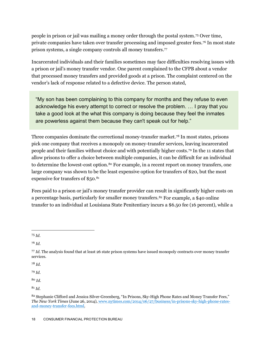people in prison or jail was mailing a money order through the postal system.[75](#page-18-0) Over time, private companies have taken over transfer processing and imposed greater fees.[76](#page-18-1) In most state prison systems, a single company controls all money transfers.[77](#page-18-2)

Incarcerated individuals and their families sometimes may face difficulties resolving issues with a prison or jail's money transfer vendor. One parent complained to the CFPB about a vendor that processed money transfers and provided goods at a prison. The complaint centered on the vendor's lack of response related to a defective device. The person stated,

"My son has been complaining to this company for months and they refuse to even acknowledge his every attempt to correct or resolve the problem. … I pray that you take a good look at the what this company is doing because they feel the inmates are powerless against them because they can't speak out for help."

Three companies dominate the correctional money-transfer market[.78](#page-18-3) In most states, prisons pick one company that receives a monopoly on money-transfer services, leaving incarcerated people and their families without choice and with potentially higher costs.[79](#page-18-4) In the 11 states that allow prisons to offer a choice between multiple companies, it can be difficult for an individual to determine the lowest-cost option.<sup>[80](#page-18-5)</sup> For example, in a recent report on money transfers, one large company was shown to be the least expensive option for transfers of \$20, but the most expensive for transfers of \$50.<sup>[81](#page-18-6)</sup>

Fees paid to a prison or jail's money transfer provider can result in significantly higher costs on a percentage basis, particularly for smaller money transfers.[82](#page-18-7) For example, a \$40 online transfer to an individual at Louisiana State Penitentiary incurs a \$6.50 fee (16 percent), while a

<span id="page-18-3"></span><sup>78</sup> *Id*.

<span id="page-18-4"></span><sup>79</sup> *Id*.

<span id="page-18-6"></span><span id="page-18-5"></span><sup>80</sup> *Id*.

<span id="page-18-0"></span><sup>75</sup> *Id*.

<span id="page-18-1"></span><sup>76</sup> *Id*.

<span id="page-18-2"></span><sup>77</sup> *Id*. The analysis found that at least 26 state prison systems have issued monopoly contracts over money transfer services.

<span id="page-18-7"></span><sup>82</sup> Stephanie Clifford and Jessica Silver-Greenberg, "In Prisons, Sky-High Phone Rates and Money Transfer Fees," *The New York Times* (June 26, 2014)[, www.nytimes.com/2014/06/27/business/in-prisons-sky-high-phone-rates](http://www.nytimes.com/2014/06/27/business/in-prisons-sky-high-phone-rates-and-money-transfer-fees.html)[and-money-transfer-fees.html.](http://www.nytimes.com/2014/06/27/business/in-prisons-sky-high-phone-rates-and-money-transfer-fees.html)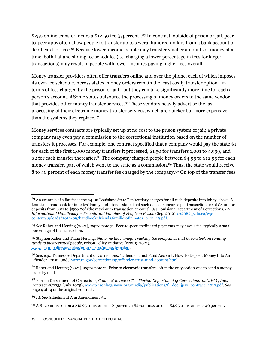\$250 online transfer incurs a \$12.50 fee (5 percent).<sup>[83](#page-19-0)</sup> In contrast, outside of prison or jail, peerto-peer apps often allow people to transfer up to several hundred dollars from a bank account or debit card for free[.84](#page-19-1) Because lower-income people may transfer smaller amounts of money at a time, both flat and sliding fee schedules (i.e. charging a lower percentage in fees for larger transactions) may result in people with lower-incomes paying higher fees overall.

Money transfer providers often offer transfers online and over the phone, each of which imposes its own fee schedule. Across states, money orders remain the least costly transfer option—in terms of fees charged by the prison or jail—but they can take significantly more time to reach a person's account.[85](#page-19-2) Some states outsource the processing of money orders to the same vendor that provides other money transfer services. [86](#page-19-3) These vendors heavily advertise the fast processing of their electronic money transfer services, which are quicker but more expensive than the systems they replace.<sup>87</sup>

Money services contracts are typically set up at no cost to the prison system or jail; a private company may even pay a commission to the correctional institution based on the number of transfers it processes. For example, one contract specified that a company would pay the state \$1 for each of the first 1,000 money transfers it processed, \$1.50 for transfers 1,001 to 4,999, and \$2 for each transfer thereafter.<sup>[88](#page-19-5)</sup> The company charged people between \$4.95 to \$12.95 for each money transfer, part of which went to the state as a commission. [89](#page-19-6) Thus, the state would receive 8 to 40 percent of each money transfer fee charged by the company.[90](#page-19-7) On top of the transfer fees

<span id="page-19-0"></span><sup>83</sup> An example of a flat fee is the \$4.00 Louisiana State Penitentiary charges for all cash deposits into lobby kiosks. A Louisiana handbook for inmates' family and friends states that such deposits incur "a per transaction fee of \$4.00 for deposits from \$.01 to \$500.00" (the maximum transaction amount). *See* Louisiana Department of Corrections, *LA Informational Handbook for Friends and Families of People in Prison* (Sep. 2019)[, s32082.pcdn.co/wp](https://s32082.pcdn.co/wp-content/uploads/2019/09/handbook4friends.familiesofinmates_9_11_19.pdf)[content/uploads/2019/09/handbook4friends.familiesofinmates\\_9\\_11\\_19.pdf.](https://s32082.pcdn.co/wp-content/uploads/2019/09/handbook4friends.familiesofinmates_9_11_19.pdf)

<span id="page-19-1"></span><sup>84</sup> *See* Raher and Herring (2021), *supra* note 71. Peer-to-peer credit card payments may have a fee, typically a small percentage of the transaction.

<span id="page-19-2"></span><sup>85</sup> Stephen Raher and Tiana Herring, *Show me the money: Tracking the companies that have a lock on sending funds to incarcerated people*, Prison Policy Initiative (Nov. 9, 2021), [www.prisonpolicy.org/blog/2021/11/09/moneytransfers.](http://www.prisonpolicy.org/blog/2021/11/09/moneytransfers)

<span id="page-19-3"></span><sup>86</sup> *See*, *e.g.,* Tennessee Department of Corrections, "Offender Trust Fund Account: How To Deposit Money Into An Offender Trust Fund,[" www.tn.gov/correction/sp/offender-trust-fund-account.html.](http://www.tn.gov/correction/sp/offender-trust-fund-account.html)

<span id="page-19-4"></span><sup>87</sup> Raher and Herring (2021), *supra* note 71. Prior to electronic transfers, often the only option was to send a money order by mail.

<span id="page-19-5"></span><sup>88</sup> Florida Department of Corrections, *Contract Between The Florida Department of Corrections and JPAY, Inc.*, Contract #C2233 (July 2005)[, www.prisonlegalnews.org/media/publications/fl\\_doc\\_jpay\\_contract\\_2012.pdf.](http://www.prisonlegalnews.org/media/publications/fl_doc_jpay_contract_2012.pdf) *See* page 4 of 14 of the original contract.

<span id="page-19-6"></span><sup>89</sup> *Id*. *See* Attachment A in Amendment #1.

<span id="page-19-7"></span><sup>90</sup> A \$1 commission on a \$12.95 transfer fee is 8 percent; a \$2 commission on a \$4.95 transfer fee is 40 percent.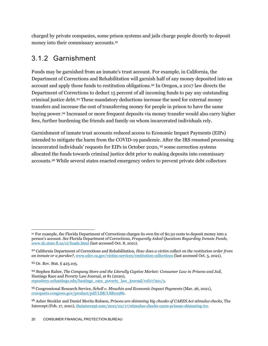charged by private companies, some prison systems and jails charge people directly to deposit money into their commissary accounts.[91](#page-20-0)

#### 3.1.2 Garnishment

Funds may be garnished from an inmate's trust account. For example, in California, the Department of Corrections and Rehabilitation will garnish half of any money deposited into an account and apply those funds to restitution obligations[.92](#page-20-1) In Oregon, a 2017 law directs the Department of Corrections to deduct 15 percent of all incoming funds to pay any outstanding criminal justice debt.[93](#page-20-2) These mandatory deductions increase the need for external money transfers and increase the cost of transferring money for people in prison to have the same buying power.[94](#page-20-3) Increased or more frequent deposits via money transfer would also carry higher fees, further burdening the friends and family on whom incarcerated individuals rely.

Garnishment of inmate trust accounts reduced access to Economic Impact Payments (EIPs) intended to mitigate the harm from the COVID-19 pandemic. After the IRS resumed processing incarcerated individuals' requests for EIPs in October 2020, [95](#page-20-4) some correction systems allocated the funds towards criminal justice debt prior to making deposits into commissary accounts.[96](#page-20-5) While several states enacted emergency orders to prevent private debt collectors

<span id="page-20-0"></span><sup>91</sup> For example, the Florida Department of Corrections charges its own fee of \$0.50 cents to deposit money into a person's account. *See* Florida Department of Corrections, *Frequently Asked Questions Regarding Inmate Funds*, [www.dc.state.fl.us/ci/funds.html](http://www.dc.state.fl.us/ci/funds.html) (last accessed Oct. 8, 2021).

<span id="page-20-1"></span><sup>92</sup> California Department of Corrections and Rehabilitation, *How does a victim collect on the restitution order from an inmate or a parolee?*[, www.cdcr.ca.gov/victim-services/restitution-collections](http://www.cdcr.ca.gov/victim-services/restitution-collections) (last accessed Oct. 5, 2021).

<span id="page-20-2"></span><sup>93</sup> Or. Rev. Stat. § 423.105.

<span id="page-20-3"></span><sup>94</sup> Stephen Raher, *The Company Store and the Literally Captive Market: Consumer Law in Prisons and Jail,*  Hastings Race and Poverty Law Journal, at 81 (2020), [repository.uchastings.edu/hastings\\_race\\_poverty\\_law\\_journal/vol17/iss1/3.](https://repository.uchastings.edu/hastings_race_poverty_law_journal/vol17/iss1/3/)

<span id="page-20-4"></span><sup>95</sup> Congressional Research Service, *Scholl v. Mnuchin and Economic Impact Payments* (Mar. 26, 2021), [crsreports.congress.gov/product/pdf/LSB/LSB10586.](https://crsreports.congress.gov/product/pdf/LSB/LSB10586)

<span id="page-20-5"></span><sup>96</sup> Asher Stockler and Daniel Moritz-Rabson, *Prisons are skimming big chunks of CARES Act stimulus checks*, The Intercept (Feb. 17, 2021), [theintercept.com/2021/02/17/stimulus-checks-cares-prisons-skimming-irs.](https://theintercept.com/2021/02/17/stimulus-checks-cares-prisons-skimming-irs/)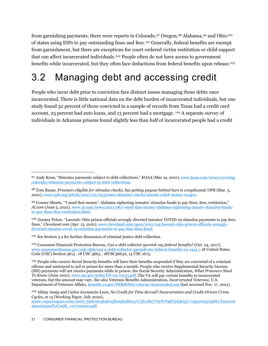from garnishing payments, there were reports in Colorado, [97](#page-21-1) Oregon, [98](#page-21-2) Alabama, 99 and Ohio<sup>[100](#page-21-4)</sup> of states using EIPs to pay outstanding fines and fees.[101](#page-21-5) Generally, federal benefits are exempt from garnishment, but there are exceptions for court-ordered victim restitution or child support that can affect incarcerated individuals.[102](#page-21-6) People often do not have access to government benefits while incarcerated, but they often face deductions from federal benefits upon release.[103](#page-21-7)

### <span id="page-21-0"></span>3.2 Managing debt and accessing credit

People who incur debt prior to conviction face distinct issues managing those debts once incarcerated. There is little national data on the debt burden of incarcerated individuals, but one study found 32 percent of those convicted in a sample of records from Texas had a credit card account, 25 percent had auto loans, and 13 percent had a mortgage. [104](#page-21-8) A separate survey of individuals in Arkansas prisons found slightly less than half of incarcerated people had a credit

<span id="page-21-4"></span><sup>100</sup> Jeremy Pelzer, "Lawsuit: Ohio prison officials wrongly diverted inmates' COVID-19 stimulus payments to pay fees, fines," *Cleveland.com* (Apr. 13, 2021)[, www.cleveland.com/open/2021/04/lawsuit-ohio-prison-officials-wrongly](https://www.cleveland.com/open/2021/04/lawsuit-ohio-prison-officials-wrongly-diverted-inmates-covid-19-stimulus-payments-to-pay-fees-fines.html)[diverted-inmates-covid-19-stimulus-payments-to-pay-fees-fines.html.](https://www.cleveland.com/open/2021/04/lawsuit-ohio-prison-officials-wrongly-diverted-inmates-covid-19-stimulus-payments-to-pay-fees-fines.html)

<span id="page-21-5"></span><sup>101</sup> *See* Section 5.2 for further discussion of criminal justice debt collection.

<span id="page-21-6"></span><sup>102</sup> Consumer Financial Protection Bureau, *Can a debt collector garnish my federal benefits?* (Oct. 24, 2017), [www.consumerfinance.gov/ask-cfpb/can-a-debt-collector-garnish-my-federal-benefits-en-1441/;](https://www.consumerfinance.gov/ask-cfpb/can-a-debt-collector-garnish-my-federal-benefits-en-1441/) 18 United States Code (USC) Section 3613 , 18 USC 3663 , 18USC3663A, 15 USC 1673.

<span id="page-21-1"></span><sup>97</sup> Andy Koen, "Stimulus payments subject to debt collections," *KOAA* (Mar 19, 2021)[, www.koaa.com/news/covering](http://www.koaa.com/news/covering-colorado/stimulus-payments-subject-to-debt-collections)[colorado/stimulus-payments-subject-to-debt-collections.](http://www.koaa.com/news/covering-colorado/stimulus-payments-subject-to-debt-collections)

<span id="page-21-2"></span><sup>98</sup> Tom Banse, *Prisoners eligible for stimulus checks, but getting payout behind bars is complicated*, OPB (Mar. 3, 2021)[, www.opb.org/article/2021/03/03/prison-stimulus-checks-inmate-relief-money-oregon.](https://www.opb.org/article/2021/03/03/prison-stimulus-checks-inmate-relief-money-oregon/) 

<span id="page-21-3"></span><sup>99</sup> Connor Sheets*,* "'I need that money': Alabama siphoning inmates' stimulus funds to pay fines, fees, restitution," *Al.com* (June 5, 2021), [www.al.com/news/2021/06/i-need-that-money-alabama-siphoning-inmate-stimulus-funds](https://www.al.com/news/2021/06/i-need-that-money-alabama-siphoning-inmate-stimulus-funds-to-pay-fines-fees-restitution.html)[to-pay-fines-fees-restitution.html.](https://www.al.com/news/2021/06/i-need-that-money-alabama-siphoning-inmate-stimulus-funds-to-pay-fines-fees-restitution.html)

<span id="page-21-7"></span><sup>103</sup> People who receive Social Security benefits will have their benefits suspended if they are convicted of a criminal offense and sentenced to jail or prison for more than a month. People who receive Supplemental Security Income (SSI) payments will not receive payments while in prison. *See* Social Security Administration, *What Prisoners Need To Know* (June 2021)[, www.ssa.gov/pubs/EN-05-10133.pdf.](https://www.ssa.gov/pubs/EN-05-10133.pdf) The VA will pay certain benefits to incarcerated veterans, but the amount may vary. *See also* Veterans Benefits Administration, *Incarcerated Veterans*, U.S. Department of Veterans Affairs[, benefits.va.gov/PERSONA/veteran-incarcerated.asp](https://benefits.va.gov/PERSONA/veteran-incarcerated.asp) (last accessed Nov. 17, 2021).

<span id="page-21-8"></span><sup>104</sup> Abhay Aneja and Carlos Avenancio-Leon*, No Credit for Time Served? Incarceration and Credit-Driven Crime Cycle*s, at 13 (Working Paper, July 2020),

[static1.squarespace.com/static/59dc0ec564b05fea9d3dfee3/t/5f11d977797b7f4875d36537/1595005305683/Incarcer](http://static1.squarespace.com/static/59dc0ec564b05fea9d3dfee3/t/5f11d977797b7f4875d36537/1595005305683/IncarcerationAccessToCredit_v07102020.pdf) [ationAccessToCredit\\_v07102020.pdf.](http://static1.squarespace.com/static/59dc0ec564b05fea9d3dfee3/t/5f11d977797b7f4875d36537/1595005305683/IncarcerationAccessToCredit_v07102020.pdf)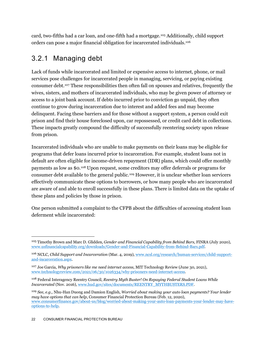card, two-fifths had a car loan, and one-fifth had a mortgage.[105](#page-22-0) Additionally, child support orders can pose a major financial obligation for incarcerated individuals.[106](#page-22-1)

#### 3.2.1 Managing debt

Lack of funds while incarcerated and limited or expensive access to internet, phone, or mail services pose challenges for incarcerated people in managing, servicing, or paying existing consumer debt.[107](#page-22-2) These responsibilities then often fall on spouses and relatives, frequently the wives, sisters, and mothers of incarcerated individuals, who may be given power of attorney or access to a joint bank account. If debts incurred prior to conviction go unpaid, they often continue to grow during incarceration due to interest and added fees and may become delinquent. Facing these barriers and for those without a support system, a person could exit prison and find their house foreclosed upon, car repossessed, or credit card debt in collections. These impacts greatly compound the difficulty of successfully reentering society upon release from prison.

Incarcerated individuals who are unable to make payments on their loans may be eligible for programs that defer loans incurred prior to incarceration. For example, student loans not in default are often eligible for income-driven repayment (IDR) plans, which could offer monthly payments as low as \$0.[108](#page-22-3) Upon request, some creditors may offer deferrals or programs for consumer debt available to the general public[.109](#page-22-4) However, it is unclear whether loan servicers effectively communicate these options to borrowers, or how many people who are incarcerated are aware of and able to enroll successfully in these plans. There is limited data on the uptake of these plans and policies by those in prison.

One person submitted a complaint to the CFPB about the difficulties of accessing student loan deferment while incarcerated:

<span id="page-22-0"></span><sup>105</sup> Timothy Brown and Marc D. Glidden, *Gender and Financial Capability from Behind Bars*, FINRA (July 2020), [www.usfinancialcapability.org/downloads/Gender-and-Financial-Capability-from-Behind-Bars.pdf.](https://www.usfinancialcapability.org/downloads/Gender-and-Financial-Capability-from-Behind-Bars.pdf) 

<span id="page-22-1"></span><sup>106</sup> NCLC, *Child Support and Incarceration* (Mar. 4, 2019)[, www.ncsl.org/research/human-services/child-support](https://www.ncsl.org/research/human-services/child-support-and-incarceration.aspx)[and-incarceration.aspx.](https://www.ncsl.org/research/human-services/child-support-and-incarceration.aspx)

<span id="page-22-2"></span><sup>107</sup> Joe Garcia, *Why prisoners like me need internet access*, MIT Technology Review (June 30, 2021), [www.technologyreview.com/2021/06/30/1026334/why-prisoners-need-internet-access.](http://www.technologyreview.com/2021/06/30/1026334/why-prisoners-need-internet-access)

<span id="page-22-3"></span><sup>108</sup> Federal Interagency Reentry Council, *Reentry Myth Buster! On Repaying Federal Student Loans While Incarcerated* (Nov. 2016), [www.hud.gov/sites/documents/REENTRY\\_MYTHBUSTERS.PDF.](http://www.hud.gov/sites/documents/REENTRY_MYTHBUSTERS.PDF)

<span id="page-22-4"></span><sup>109</sup> *See, e.g.,* Nhu-Han Duong and Damion English, *Worried about making your auto loan payments? Your lender may have options that can help*, Consumer Financial Protection Bureau (Feb. 12, 2020), [www.consumerfinance.gov/about-us/blog/worried-about-making-your-auto-loan-payments-your-lender-may-have](http://www.consumerfinance.gov/about-us/blog/worried-about-making-your-auto-loan-payments-your-lender-may-have-options-to-help)[options-to-help.](http://www.consumerfinance.gov/about-us/blog/worried-about-making-your-auto-loan-payments-your-lender-may-have-options-to-help)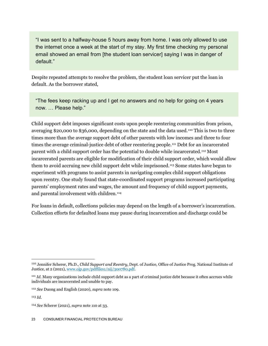"I was sent to a halfway-house 5 hours away from home. I was only allowed to use the internet once a week at the start of my stay. My first time checking my personal email showed an email from [the student loan servicer] saying I was in danger of default."

Despite repeated attempts to resolve the problem, the student loan servicer put the loan in default. As the borrower stated,

"The fees keep racking up and I get no answers and no help for going on 4 years now. … Please help."

Child support debt imposes significant costs upon people reentering communities from prison, averaging \$20,000 to \$36,000, depending on the state and the data used.[110](#page-23-0) This is two to three times more than the average support debt of other parents with low incomes and three to four times the average criminal-justice debt of other reentering people.[111](#page-23-1) Debt for an incarcerated parent with a child support order has the potential to double while incarcerated.[112](#page-23-2) Most incarcerated parents are eligible for modification of their child support order, which would allow them to avoid accruing new child support debt while imprisoned.<sup>[113](#page-23-3)</sup> Some states have begun to experiment with programs to assist parents in navigating complex child support obligations upon reentry. One study found that state-coordinated support programs increased participating parents' employment rates and wages, the amount and frequency of child support payments, and parental involvement with children.<sup>[114](#page-23-4)</sup>

For loans in default, collections policies may depend on the length of a borrower's incarceration. Collection efforts for defaulted loans may pause during incarceration and discharge could be

<span id="page-23-0"></span><sup>110</sup> Jennifer Scherer, Ph.D., *Child Support and Reentry*, Dept. of Justice, Office of Justice Prog. National Institute of Justice, at 2 (2021)[, www.ojp.gov/pdffiles1/nij/300780.pdf.](https://www.ojp.gov/pdffiles1/nij/300780.pdf) 

<span id="page-23-1"></span><sup>111</sup> *Id.* Many organizations include child support debt as a part of criminal justice debt because it often accrues while individuals are incarcerated and unable to pay.

<span id="page-23-2"></span><sup>112</sup> *See* Duong and English (2020), *supra* note 109.

<span id="page-23-3"></span><sup>113</sup> *Id*.

<span id="page-23-4"></span><sup>114</sup> *See* Scherer (2021), *supra* note 110 at 33.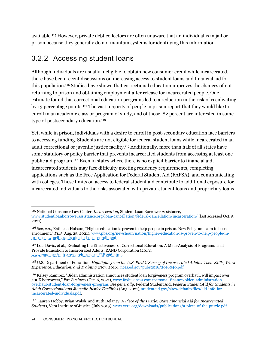available.[115](#page-24-0) However, private debt collectors are often unaware that an individual is in jail or prison because they generally do not maintain systems for identifying this information.

#### 3.2.2 Accessing student loans

Although individuals are usually ineligible to obtain new consumer credit while incarcerated, there have been recent discussions on increasing access to student loans and financial aid for this population.[116](#page-24-1) Studies have shown that correctional education improves the chances of not returning to prison and obtaining employment after release for incarcerated people. One estimate found that correctional education programs led to a reduction in the risk of recidivating by 13 percentage points[.117](#page-24-2) The vast majority of people in prison report that they would like to enroll in an academic class or program of study, and of those, 82 percent are interested in some type of postsecondary education.<sup>[118](#page-24-3)</sup>

Yet, while in prison, individuals with a desire to enroll in post-secondary education face barriers to accessing funding. Students are not eligible for federal student loans while incarcerated in an adult correctional or juvenile justice facility. [119](#page-24-4) Additionally, more than half of all states have some statutory or policy barrier that prevents incarcerated students from accessing at least one public aid program.[120](#page-24-5) Even in states where there is no explicit barrier to financial aid, incarcerated students may face difficulty meeting residency requirements, completing applications such as the Free Application for Federal Student Aid (FAFSA), and communicating with colleges. These limits on access to federal student aid contribute to additional exposure for incarcerated individuals to the risks associated with private student loans and proprietary loans

<span id="page-24-0"></span><sup>115</sup> National Consumer Law Center, *Incarceration*, Student Loan Borrower Assistance,

[www.studentloanborrowerassistance.org/loan-cancellation/federal-cancellation/incarceration/](https://www.studentloanborrowerassistance.org/loan-cancellation/federal-cancellation/incarceration/) (last accessed Oct. 5, 2021).

<span id="page-24-1"></span><sup>116</sup> *See*, *e.g.*, Kathleen Hobson, "Higher education is proven to help people in prison. New Pell grants aim to boost enrollment." *PBS* (Aug. 25, 2021)[, www.pbs.org/newshour/nation/higher-education-is-proven-to-help-people-in](http://www.pbs.org/newshour/nation/higher-education-is-proven-to-help-people-in-prison-new-pell-grants-aim-to-boost-enrollment)[prison-new-pell-grants-aim-to-boost-enrollment.](http://www.pbs.org/newshour/nation/higher-education-is-proven-to-help-people-in-prison-new-pell-grants-aim-to-boost-enrollment)

<span id="page-24-2"></span><sup>117</sup> Lois Davis, et al., Evaluating the Effectiveness of Correctional Education: A Meta-Analysis of Programs That Provide Education to Incarcerated Adults, RAND Corporation (2013), [www.rand.org/pubs/research\\_reports/RR266.html.](https://www.rand.org/pubs/research_reports/RR266.html)

<span id="page-24-3"></span><sup>118</sup> U.S. Department of Education, *Highlights from the U.S. PIAAC Survey of Incarcerated Adults: Their Skills, Work Experience, Education, and Training* (Nov. 2016), [nces.ed.gov/pubs2016/2016040.pdf.](https://nces.ed.gov/pubs2016/2016040.pdf)

<span id="page-24-4"></span><sup>119</sup> Kelsey Ramirez, "Biden administration announces student loan forgiveness program overhaul, will impact over 500K borrowers," *Fox Business* (Oct. 6, 2021)[, www.foxbusiness.com/personal-finance/biden-administration](https://www.foxbusiness.com/personal-finance/biden-administration-overhaul-student-loan-forgiveness-program)[overhaul-student-loan-forgiveness-program.](https://www.foxbusiness.com/personal-finance/biden-administration-overhaul-student-loan-forgiveness-program) *See generally,* Federal Student Aid, *Federal Student Aid for Students in Adult Correctional and Juvenile Justice Facilities* (Aug. 2021), [studentaid.gov/sites/default/files/aid-info-for](https://studentaid.gov/sites/default/files/aid-info-for-incarcerated-individuals.pdf)[incarcerated-individuals.pdf.](https://studentaid.gov/sites/default/files/aid-info-for-incarcerated-individuals.pdf)

<span id="page-24-5"></span><sup>120</sup> Lauren Hobby, Brian Walsh, and Ruth Delaney, *A Piece of the Puzzle: State Financial Aid for Incarcerated Students*, Vera Institute of Justice (July 2019)[, www.vera.org/downloads/publications/a-piece-of-the-puzzle.pdf.](https://www.vera.org/downloads/publications/a-piece-of-the-puzzle.pdf)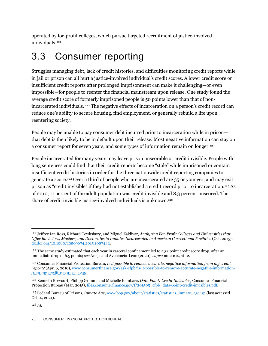operated by for-profit colleges, which pursue targeted recruitment of justice-involved individuals.<sup>[121](#page-25-1)</sup>

### <span id="page-25-0"></span>3.3 Consumer reporting

Struggles managing debt, lack of credit histories, and difficulties monitoring credit reports while in jail or prison can all hurt a justice-involved individual's credit scores. A lower credit score or insufficient credit reports after prolonged imprisonment can make it challenging—or even impossible—for people to reenter the financial mainstream upon release. One study found the average credit score of formerly imprisoned people is 50 points lower than that of nonincarcerated individuals. [122](#page-25-2) The negative effects of incarceration on a person's credit record can reduce one's ability to secure housing, find employment, or generally rebuild a life upon reentering society.

People may be unable to pay consumer debt incurred prior to incarceration while in prison that debt is then likely to be in default upon their release. Most negative information can stay on a consumer report for seven years, and some types of information remain on longer.<sup>[123](#page-25-3)</sup>

People incarcerated for many years may leave prison unscorable or credit invisible. People with long sentences could find that their credit reports become "stale" while imprisoned or contain insufficient credit histories in order for the three nationwide credit reporting companies to generate a score.[124](#page-25-4) Over a third of people who are incarcerated are 35 or younger, and may exit prison as "credit invisible" if they had not established a credit record prior to incarceration.[125](#page-25-5) As of 2010, 11 percent of the adult population was credit invisible and 8.3 percent unscored. The share of credit invisible justice-involved individuals is unknown.[126](#page-25-6)

<span id="page-25-1"></span><sup>121</sup> Jeffrey Ian Ross, Richard Tewksbury, and Miguel Zaldivar, *Analyzing For-Profit Colleges and Universities that Offer Bachelors, Masters, and Doctorates to Inmates Incarcerated in American Correctional Facilities* (Oct. 2015), [dx.doi.org/10.1080/10509674.2015.1087442.](http://dx.doi.org/10.1080/10509674.2015.1087442/)

<span id="page-25-2"></span> $122$  The same study estimated that each year in carceral confinement led to a 32 point credit score drop, after an immediate drop of 6.5 points; *see* Aneja and Avenancio-Leon (2020), *supra* note 104, at 12.

<span id="page-25-3"></span><sup>123</sup> Consumer Financial Protection Bureau, *Is it possible to remove accurate, negative information from my credit report?* (Apr. 6, 2016)[, www.consumerfinance.gov/ask-cfpb/is-it-possible-to-remove-accurate-negative-information](http://www.consumerfinance.gov/ask-cfpb/is-it-possible-to-remove-accurate-negative-information-from-my-credit-report-en-1249)[from-my-credit-report-en-1249.](http://www.consumerfinance.gov/ask-cfpb/is-it-possible-to-remove-accurate-negative-information-from-my-credit-report-en-1249)

<span id="page-25-4"></span><sup>124</sup> Kenneth Brevoort, Philipp Grimm, and Michelle Kambara, *Data Point: Credit Invisibles*, Consumer Financial Protection Bureau (Mar. 2015)[, files.consumerfinance.gov/f/201505\\_cfpb\\_data-point-credit-invisibles.pdf.](https://files.consumerfinance.gov/f/201505_cfpb_data-point-credit-invisibles.pdf)

<span id="page-25-6"></span><span id="page-25-5"></span><sup>125</sup> Federal Bureau of Prisons, *Inmate Age*, [www.bop.gov/about/statistics/statistics\\_inmate\\_age.jsp](https://www.bop.gov/about/statistics/statistics_inmate_age.jsp) (last accessed Oct. 4, 2021).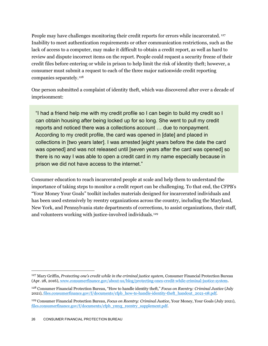People may have challenges monitoring their credit reports for errors while incarcerated. <sup>[127](#page-26-0)</sup> Inability to meet authentication requirements or other communication restrictions, such as the lack of access to a computer, may make it difficult to obtain a credit report, as well as hard to review and dispute incorrect items on the report. People could request a security freeze of their credit files before entering or while in prison to help limit the risk of identity theft; however, a consumer must submit a request to each of the three major nationwide credit reporting companies separately.[128](#page-26-1)

One person submitted a complaint of identity theft, which was discovered after over a decade of imprisonment:

"I had a friend help me with my credit profile so I can begin to build my credit so I can obtain housing after being locked up for so long. She went to pull my credit reports and noticed there was a collections account … due to nonpayment. According to my credit profile, the card was opened in [date] and placed in collections in [two years later]. I was arrested [eight years before the date the card was opened] and was not released until [seven years after the card was opened] so there is no way I was able to open a credit card in my name especially because in prison we did not have access to the internet."

Consumer education to reach incarcerated people at scale and help them to understand the importance of taking steps to monitor a credit report can be challenging. To that end, the CFPB's "Your Money Your Goals" toolkit includes materials designed for incarcerated individuals and has been used extensively by reentry organizations across the country, including the Maryland, New York, and Pennsylvania state departments of corrections, to assist organizations, their staff, and volunteers working with justice-involved individuals[.129](#page-26-2)

<span id="page-26-0"></span><sup>127</sup> Mary Griffin, *Protecting one's credit while in the criminal justice system*, Consumer Financial Protection Bureau (Apr. 28, 2016)[, www.consumerfinance.gov/about-us/blog/protecting-ones-credit-while-criminal-justice-system.](https://www.consumerfinance.gov/about-us/blog/protecting-ones-credit-while-criminal-justice-system/)

<span id="page-26-1"></span><sup>128</sup> Consumer Financial Protection Bureau, "How to handle identity theft," *Focus on Reentry: Criminal Justice* (July 2021)[, files.consumerfinance.gov/f/documents/cfpb\\_how-to-handle-identity-theft\\_handout\\_2021-08.pdf.](https://files.consumerfinance.gov/f/documents/cfpb_how-to-handle-identity-theft_handout_2021-08.pdf)

<span id="page-26-2"></span><sup>129</sup> Consumer Financial Protection Bureau, *Focus on Reentry: Criminal Justice*, Your Money, Your Goals (July 2021), [files.consumerfinance.gov/f/documents/cfpb\\_ymyg\\_reentry\\_supplement.pdf.](https://files.consumerfinance.gov/f/documents/cfpb_ymyg_reentry_supplement.pdf)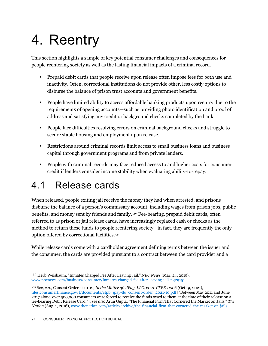## <span id="page-27-0"></span>4. Reentry

This section highlights a sample of key potential consumer challenges and consequences for people reentering society as well as the lasting financial impacts of a criminal record.

- Prepaid debit cards that people receive upon release often impose fees for both use and inactivity. Often, correctional institutions do not provide other, less costly options to disburse the balance of prison trust accounts and government benefits.
- People have limited ability to access affordable banking products upon reentry due to the requirements of opening accounts—such as providing photo identification and proof of address and satisfying any credit or background checks completed by the bank.
- People face difficulties resolving errors on criminal background checks and struggle to secure stable housing and employment upon release.
- Restrictions around criminal records limit access to small business loans and business capital through government programs and from private lenders.
- People with criminal records may face reduced access to and higher costs for consumer credit if lenders consider income stability when evaluating ability-to-repay.

## <span id="page-27-1"></span>4.1 Release cards

When released, people exiting jail receive the money they had when arrested, and prisons disburse the balance of a person's commissary account, including wages from prison jobs, public benefits, and money sent by friends and family.[130](#page-27-2) Fee-bearing, prepaid debit cards, often referred to as prison or jail release cards, have increasingly replaced cash or checks as the method to return these funds to people reentering society—in fact, they are frequently the only option offered by correctional facilities.[131](#page-27-3)

While release cards come with a cardholder agreement defining terms between the issuer and the consumer, the cards are provided pursuant to a contract between the card provider and a

<span id="page-27-2"></span><sup>130</sup> Herb Weisbaum, "Inmates Charged Fee After Leaving Jail*,*" *NBC News* (Mar. 24, 2015), [www.nbcnews.com/business/consumer/inmates-charged-fee-after-leaving-jail-n329151.](https://www.nbcnews.com/business/consumer/inmates-charged-fee-after-leaving-jail-n329151)

<span id="page-27-3"></span><sup>131</sup> *See*, *e.g.,* Consent Order at 10-12, *In the Matter of: JPay, LLC, 2021-CFPB-0006* (Oct 19, 2021), [files.consumerfinance.gov/f/documents/cfpb\\_jpay-llc\\_consent-order\\_2021-10.pdf](https://files.consumerfinance.gov/f/documents/cfpb_jpay-llc_consent-order_2021-10.pdf) ["Between May 2011 and June 2017 alone, over 500,000 consumers were forced to receive the funds owed to them at the time of their release on a fee-bearing Debit Release Card."]; *see also* Arun Gupta, "The Financial Firm That Cornered the Market on Jails," *The Nation* (Aug. 1, 2016), [www.thenation.com/article/archive/the-financial-firm-that-cornered-the-market-on-jails.](http://www.thenation.com/article/archive/the-financial-firm-that-cornered-the-market-on-jails/)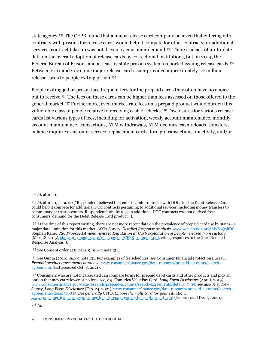state agency.[132](#page-28-0) The CFPB found that a major release card company believed that entering into contracts with prisons for release cards would help it compete for other contracts for additional services; contract take-up was not driven by consumer demand.[133](#page-28-1) There is a lack of up-to-date data on the overall adoption of release cards by correctional institutions, but, in 2014, the Federal Bureau of Prisons and at least 17 state prisons systems reported issuing release cards.[134](#page-28-2) Between 2011 and 2021, one major release card issuer provided approximately 1.2 million release cards to people exiting prison. [135](#page-28-3)

People exiting jail or prison face frequent fees for the prepaid cards they often have no choice but to receive.[136](#page-28-4) The fees on these cards can be higher than fees assessed on those offered to the general market.[137](#page-28-5) Furthermore, even market-rate fees on a prepaid product would burden this vulnerable class of people relative to receiving cash or checks.[138](#page-28-6) Disclosures for various release cards list various types of fees, including for activation, weekly account maintenance, monthly account maintenance, transactions, ATM withdrawals, ATM declines, cash reloads, transfers, balance inquiries, customer service, replacement cards, foreign transactions, inactivity, and/or

<span id="page-28-2"></span><sup>134</sup> At the time of this report writing, there are not more recent data on the prevalence of prepaid card use by states—a major data limitation for this market. ASCA Survey, *Detailed Response Analysis,* [www.webcitation.org/6WSoQ5hDf.](http://www.webcitation.org/6WSoQ5hDf) Stephen Raher, *Re: Proposed Amendments to Regulation E: Curb exploitation of people released from custody* (Mar. 18, 2015)[, static.prisonpolicy.org/releasecards/CFPB-comment.pdf,](https://static.prisonpolicy.org/releasecards/CFPB-comment.pdf) citing responses to the (the "Detailed Response Analysis").

<span id="page-28-3"></span><sup>135</sup> *See* Consent order at 8, para. 9, *supra* note 131.

<span id="page-28-4"></span><sup>136</sup> *See* Gupta (2016), *supra* note 131. For examples of fee schedules, *see* Consumer Financial Protection Bureau, *Prepaid product agreements database*[, www.consumerfinance.gov/data-research/prepaid-accounts/search](https://www.consumerfinance.gov/data-research/prepaid-accounts/search-agreements/)[agreements](https://www.consumerfinance.gov/data-research/prepaid-accounts/search-agreements/) (last accessed Oct. 8, 2021).

<span id="page-28-0"></span><sup>132</sup> *Id.* at 10-11.

<span id="page-28-1"></span><sup>133</sup> *Id.* at 10-11, para. 20 ["Respondent believed that entering into contracts with DOCs for the Debit Release Card could help it compete for additional DOC contracts pertaining to additional services, including money transfers to commissary or trust accounts. Respondent's ability to gain additional DOC contracts was not derived from consumers' demand for the Debit Release Card product."].

<span id="page-28-6"></span><span id="page-28-5"></span><sup>&</sup>lt;sup>137</sup> Consumers who are not incarcerated can compare terms for prepaid debit cards and other products and pick an option that may carry lower or no fees; *see, e.g.* Comerica ValuePay Card, *Long Form Disclosure* (Apr. 1, 2019), [www.consumerfinance.gov/data-research/prepaid-accounts/search-agreements/detail/47439;](http://www.consumerfinance.gov/data-research/prepaid-accounts/search-agreements/detail/47439) *see also* JPay New Jersey, *Long Form Disclosure* (Feb. 24, 2021)[, www.consumerfinance.gov/data-research/prepaid-accounts/search](http://www.consumerfinance.gov/data-research/prepaid-accounts/search-agreements/detail/46835/)[agreements/detail/46835.](http://www.consumerfinance.gov/data-research/prepaid-accounts/search-agreements/detail/46835/) *See generally* CFPB, *Choose the right card for your situation,*  [www.consumerfinance.gov/consumer-tools/prepaid-cards/choose-the-right-card](http://www.consumerfinance.gov/consumer-tools/prepaid-cards/choose-the-right-card/) (last accessed Dec. 9, 2021).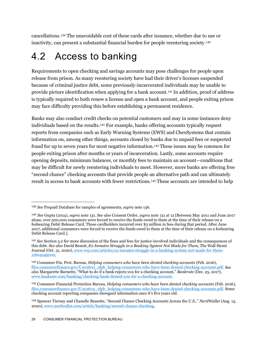cancellations.[139](#page-29-1) The unavoidable cost of these cards after issuance, whether due to use or inactivity, can present a substantial financial burden for people reentering society.<sup>140</sup>

### <span id="page-29-0"></span>4.2 Access to banking

Requirements to open checking and savings accounts may pose challenges for people upon release from prison. As many reentering society have had their driver's licenses suspended because of criminal justice debt, some previously-incarcerated individuals may be unable to provide picture identification when applying for a bank account.[141](#page-29-3) In addition, proof of address is typically required to both renew a license and open a bank account, and people exiting prison may face difficulty providing this before establishing a permanent residence.

Banks may also conduct credit checks on potential customers and may in some instances deny individuals based on the results.[142](#page-29-4) For example, banks offering accounts typically request reports from companies such as Early Warning Systems (EWS) and ChexSystems that contain information on, among other things, accounts closed by banks due to unpaid fees or suspected fraud for up to seven years for most negative information.[143](#page-29-5) These issues may be common for people exiting prison after months or years of incarceration. Lastly, some accounts require opening deposits, minimum balances, or monthly fees to maintain an account—conditions that may be difficult for newly reentering individuals to meet. However, more banks are offering free "second chance" checking accounts that provide people an alternative path and can ultimately result in access to bank accounts with fewer restrictions. [144](#page-29-6) These accounts are intended to help

<span id="page-29-1"></span><sup>139</sup> *See* Prepaid Database for samples of agreements, *supra* note 136.

<span id="page-29-2"></span><sup>140</sup> *See* Gupta (2014), *supra* note 131. *See also* Consent Order, *supra* note 131 at 12 [Between May 2011 and June 2017 alone, over 500,000 consumers were forced to receive the funds owed to them at the time of their release on a feebearing Debit Release Card. Those cardholders incurred over \$3 million in fees during that period. After June 2017, additional consumers were forced to receive the funds owed to them at the time of their release on a feebearing Debit Release Card.].

<span id="page-29-3"></span><sup>141</sup> *See* Section 5.2 for more discussion of the fines and fees for justice-involved individuals and the consequences of this debt. *See also* David Benoit, *Ex-Inmates Struggle in a Banking System Not Made for Them,* The Wall Street Journal (Oct. 31, 2020)[, www.wsj.com/articles/ex-inmates-struggle-in-a-banking-system-not-made-for-them-](https://www.wsj.com/articles/ex-inmates-struggle-in-a-banking-system-not-made-for-them-11604149200)[11604149200.](https://www.wsj.com/articles/ex-inmates-struggle-in-a-banking-system-not-made-for-them-11604149200)

<span id="page-29-4"></span><sup>142</sup> Consumer Fin. Prot. Bureau, *Helping consumers who have been denied checking accounts* (Feb. 2016), [files.consumerfinance.gov/f/201602\\_cfpb\\_helping-consumers-who-have-been-denied-checking-accounts.pdf.](https://files.consumerfinance.gov/f/201602_cfpb_helping-consumers-who-have-been-denied-checking-accounts.pdf) *See also* Margarette Burnette, "What to do if a bank rejects you for a checking account," *Bankrate* (Dec. 25, 2017), [www.bankrate.com/banking/checking/bank-denied-you-for-a-checking-account.](https://www.bankrate.com/banking/checking/bank-denied-you-for-a-checking-account/)

<span id="page-29-5"></span><sup>143</sup> Consumer Financial Protection Bureau, *Helping consumers who have been denied checking accounts* (Feb. 2016), [files.consumerfinance.gov/f/201602\\_cfpb\\_helping-consumers-who-have-been-denied-checking-accounts.pdf.](https://files.consumerfinance.gov/f/201602_cfpb_helping-consumers-who-have-been-denied-checking-accounts.pdf) Some checking account reporting companies disregard information once it's five years old.

<span id="page-29-6"></span><sup>144</sup> Spencer Tierney and Chanelle Bessette, "Second Chance Checking Accounts Across the U.S.," *NerdWallet* (Aug. 13, 2020), [www.nerdwallet.com/article/banking/second-chance-checking.](http://www.nerdwallet.com/article/banking/second-chance-checking)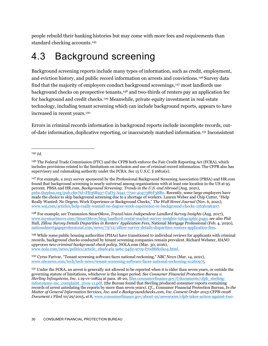people rebuild their banking histories but may come with more fees and requirements than standard checking accounts.[145](#page-30-1)

### <span id="page-30-0"></span>4.3 Background screening

Background screening reports include many types of information, such as credit, employment, and eviction history, and public record information on arrests and convictions.[146](#page-30-2) Survey data find that the majority of employers conduct background screenings,[147](#page-30-3) most landlords use background checks on prospective tenants,<sup>[148](#page-30-4)</sup> and two-thirds of renters pay an application fee for background and credit checks.[149](#page-30-5) Meanwhile, private equity investment in real estate technology, including tenant screening which can include background reports, appears to have increased in recent years.[150](#page-30-6)

Errors in criminal records information in background reports include incomplete records, outof-date information, duplicative reporting, or inaccurately matched information.[151](#page-30-7) Inconsistent

<span id="page-30-3"></span><sup>147</sup> For example, a 2021 survey sponsored by the Professional Background Screening Association (PBSA) and HR.com found that background screening is nearly universal among organizations with at least one location in the US at 95 percent. PBSA and HR.com, *Background Screening: Trends in the U.S. and Abroad* (Aug. 2021), [pubs.thepbsa.org/pub.cfm?id=FB36B937-C9D5-A941-7720-4047386F38B0.](https://pubs.thepbsa.org/pub.cfm?id=FB36B937-C9D5-A941-7720-4047386F38B0) Recently, some large employers have made the choice to skip background screening due to a shortage of workers. Lauren Weber and Chip Cutter, "Help Really Wanted: No Degree, Work Experience or Background Checks," *The Wall Street Journal* (Nov. 6, 2021), [www.wsj.com/articles/help-really-wanted-no-degree-work-experience-or-background-checks-11636196307.](http://www.wsj.com/articles/help-really-wanted-no-degree-work-experience-or-background-checks-11636196307)

<span id="page-30-4"></span><sup>148</sup> For example, *see* Transunion SmartMove, *TransUnion Independent Landlord Survey Insights* (Aug. 2017), [www.mysmartmove.com/SmartMove/blog/landlord-rental-market-survey-insights-infographic.page;](http://www.mysmartmove.com/SmartMove/blog/landlord-rental-market-survey-insights-infographic.page) *see also* Phil Hall, *Zillow Survey Details Disparities in Renters' Application Fees*, National Mortgage Professional (Feb. 4, 2020), [nationalmortgageprofessional.com/news/73712/zillow-survey-details-disparities-renters-application-fees.](https://nationalmortgageprofessional.com/news/73712/zillow-survey-details-disparities-renters-application-fees)

<span id="page-30-5"></span><sup>149</sup> While some public housing authorities (PHAs) have transitioned to individual reviews for applicants with criminal records, background checks conducted by tenant screening companies remain prevalent. Richard Webster, *HANO approves new criminal background check policy*, NOLA.com (Mar. 30, 2016), [www.nola.com/news/politics/article\\_eb9dc4f4-9e6c-54d2-97c9-f70df68cda14.html.](https://www.nola.com/news/politics/article_eb9dc4f4-9e6c-54d2-97c9-f70df68cda14.html)

<span id="page-30-6"></span><sup>150</sup> Cyrus Farivar, "Tenant screening software faces national reckoning," *NBC News* (Mar. 14, 2021), [www.nbcnews.com/tech/tech-news/tenant-screening-software-faces-national-reckoning-n1260975.](https://www.nbcnews.com/tech/tech-news/tenant-screening-software-faces-national-reckoning-n1260975)

<span id="page-30-1"></span><sup>145</sup> *Id*.

<span id="page-30-2"></span><sup>146</sup> The Federal Trade Commission (FTC) and the CFPB both enforce the Fair Credit Reporting Act (FCRA), which includes provisions related to the limitations on inclusion and use of criminal record information. The CFPB also has supervisory and rulemaking authority under the FCRA. *See* 15 U.S.C. § 1681s(e).

<span id="page-30-7"></span><sup>151</sup> Under the FCRA, an arrest is generally not allowed to be reported when it is older than seven years, or outside the governing statute of limitations, whichever is the longer period. *See Consumer Financial Protection Bureau v. Sterling Infosystems, Inc*. 1:19-cv-10824 at para. 18-20[, files.consumerfinance.gov/f/documents/cfpb\\_sterling](https://files.consumerfinance.gov/f/documents/cfpb_sterling-infosystems-inc_complaint_2019-11.pdf)[infosystems-inc\\_complaint\\_2019-11.pdf.](https://files.consumerfinance.gov/f/documents/cfpb_sterling-infosystems-inc_complaint_2019-11.pdf) (the Bureau found that Sterling produced consumer reports containing records of arrest antedating the reports by more than seven years). *Cf..,* Consumer Financial Protection Bureau, *In the Matter of General Information Services, Inc. and e-Backgroundchecks.com, Inc. Consent Order 2015-CFPB-0028 Document 1* Filed 10/29/2015, at 8[, www.consumerfinance.gov/about-us/newsroom/cfpb-takes-action-against-two-](http://www.consumerfinance.gov/about-us/newsroom/cfpb-takes-action-against-two-of-the-largest-employment-background-screening-report-providers-for-serious-inaccuracies)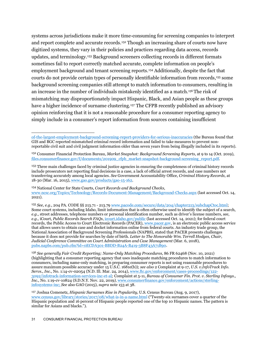systems across jurisdictions make it more time-consuming for screening companies to interpret and report complete and accurate records.[152](#page-31-0) Though an increasing share of courts now have digitized systems, they vary in their policies and practices regarding data access, records updates, and terminology. [153](#page-31-1) Background screeners collecting records in different formats sometimes fail to report correctly matched accurate, complete information on people's employment background and tenant screening reports.[154](#page-31-2) Additionally, despite the fact that courts do not provide certain types of personally identifiable information from records,[155](#page-31-3) some background screening companies still attempt to match information to consumers, resulting in an increase in the number of individuals mistakenly identified as a match[.156](#page-31-4)The risk of mismatching may disproportionately impact Hispanic, Black, and Asian people as these groups have a higher incidence of surname clustering.<sup>[157](#page-31-5)</sup> The CFPB recently published an advisory opinion reinforcing that it is not a reasonable procedure for a consumer reporting agency to simply include in a consumer's report information from sources containing insufficient

[of-the-largest-employment-background-screening-report-providers-for-serious-inaccuracies](http://www.consumerfinance.gov/about-us/newsroom/cfpb-takes-action-against-two-of-the-largest-employment-background-screening-report-providers-for-serious-inaccuracies) (the Bureau found that GIS and BGC reported mismatched criminal record information and failed to take measures to prevent nonreportable civil suit and civil judgment information older than seven years from being illegally included in its reports).

<span id="page-31-0"></span><sup>152</sup> Consumer Financial Protection Bureau, *Market Snapshot: Background Screening Reports*, at 9 to 14 (Oct. 2019), [files.consumerfinance.gov/f/documents/201909\\_cfpb\\_market-snapshot-background-screening\\_report.pdf.](https://files.consumerfinance.gov/f/documents/201909_cfpb_market-snapshot-background-screening_report.pdf)

<span id="page-31-1"></span><sup>153</sup> Three main challenges faced by criminal justice agencies in ensuring the completeness of criminal history records include prosecutors not reporting final decisions in a case, a lack of official arrest records, and case numbers not transferring accurately among local agencies. *See* Government Accountability Office, *Criminal History Records,* at 18-30 (Mar. 16, 2015)[, www.gao.gov/products/gao-15-162.](http://www.gao.gov/products/gao-15-162)

<span id="page-31-2"></span><sup>154</sup> National Center for State Courts, *Court Records and Background Checks*, [www.ncsc.org/Topics/Technology/Records-Document-Management/Background-Checks.aspx](http://www.ncsc.org/Topics/Technology/Records-Document-Management/Background-Checks.aspx) (last accessed Oct. 14, 2021).

<span id="page-31-3"></span><sup>155</sup> *See, e.g.,* 204 PA. CODE §§ 213.71 - 213.7[9 www.pacode.com/secure/data/204/chapter213/subchapCtoc.html;](https://www.pacode.com/secure/data/204/chapter213/subchapCtoc.html) Some court systems, including Idaho, limit information that is often otherwise used to identify the subject of a search, *e.g*., street addresses, telephone numbers or personal identification number, such as driver's license numbers, *see, e.g.,* iCourt, *Public Records Search FAQs*[, icourt.idaho.gov/public](https://icourt.idaho.gov/public) (last accessed Oct. 14, 2021); for federal court records, the Public Access to Court Electronic Records (PACER), [www.pacer.gov,](http://www.pacer.gov/) is an electronic public access service that allows users to obtain case and docket information online from federal courts. An industry trade group, the National Association of Background Screening Professionals (NAPBS), stated that PACER presents challenges because it does not provide for searches by date of birth. *Letter to The Honorable Wm. Terrell Hodges, Chair, Judicial Conference Committee on Court Administration and Case Management* (Mar. 6, 2018), [pubs.napbs.com/pub.cfm?id=0ECDA301-BBDD-B24A-B419-3B8F43A71B90.](https://pubs.napbs.com/pub.cfm?id=0ECDA301-BBDD-B24A-B419-3B8F43A71B90)

<span id="page-31-4"></span><sup>156</sup> *See generally Fair Credit Reporting; Name-Only Matching Procedures*, 86 FR 62468 (Nov. 10, 2021) (highlighting that a consumer reporting agency that uses inadequate matching procedures to match information to consumers, including name-only matching, in preparing consumer reports is not using reasonable procedures to assure maximum possible accuracy under 15 U.S.C. 1681e(b)); *see also* 2 Complaint at 9-17, *U.S. v.InfoTrack Info. Servs., Inc*., No. 1:14-cv-02054 (N.D. Ill. Mar. 24, 2014)[, www.ftc.gov/enforcement/cases-proceedings/122-](http://www.ftc.gov/enforcement/cases-proceedings/122-3092/infotrack-information-services-inc-et-al) [3092/infotrack-information-services-inc-et-al](http://www.ftc.gov/enforcement/cases-proceedings/122-3092/infotrack-information-services-inc-et-al)*;* Complaint at 5-11, *Bureau of Consumer Fin. Prot. v. Sterling Infosys., Inc.,* No. 1:19-cv-10824 (S.D.N.Y. Nov. 22, 2019*),* [www.consumerfinance.gov/enforcement/actions/sterling](https://www.consumerfinance.gov/enforcement/actions/sterling-infosystems-inc/)[infosystems-inc;](https://www.consumerfinance.gov/enforcement/actions/sterling-infosystems-inc/) *See* also GAO (2015), *supra* note 153 at 38.

<span id="page-31-5"></span><sup>157</sup> Joshua Comenetz, *Hispanic Surnames Rise in Popularity,* U.S. Census Bureau (Aug. 9, 2017), [www.census.gov/library/stories/2017/08/what-is-in-a-name.html](http://www.census.gov/library/stories/2017/08/what-is-in-a-name.html) ("Twenty-six surnames cover a quarter of the Hispanic population and 16 percent of Hispanic people reported one of the top 10 Hispanic names. The pattern is similar for Asians and blacks.").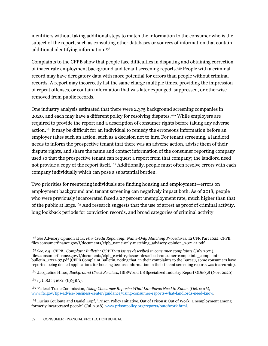identifiers without taking additional steps to match the information to the consumer who is the subject of the report, such as consulting other databases or sources of information that contain additional identifying information[.158](#page-32-0)

Complaints to the CFPB show that people face difficulties in disputing and obtaining correction of inaccurate employment background and tenant screening reports.[159](#page-32-1) People with a criminal record may have derogatory data with more potential for errors than people without criminal records. A report may incorrectly list the same charge multiple times, providing the impression of repeat offenses, or contain information that was later expunged, suppressed, or otherwise removed from public records.

One industry analysis estimated that there were 2,375 background screening companies in 2020, and each may have a different policy for resolving disputes.[160](#page-32-2) While employers are required to provide the report and a description of consumer rights before taking any adverse action,<sup>161</sup> it may be difficult for an individual to remedy the erroneous information before an employer takes such an action, such as a decision not to hire.For tenant screening, a landlord needs to inform the prospective tenant that there was an adverse action, advise them of their dispute rights, and share the name and contact information of the consumer reporting company used so that the prospective tenant can request a report from that company; the landlord need not provide a copy of the report itself.[162](#page-32-4) Additionally, people must often resolve errors with each company individually which can pose a substantial burden.

Two priorities for reentering individuals are finding housing and employment—errors on employment background and tenant screening can negatively impact both. As of 2018, people who were previously incarcerated faced a 27 percent unemployment rate, much higher than that of the public at large.[163](#page-32-5) And research suggests that the use of arrest as proof of criminal activity, long lookback periods for conviction records, and broad categories of criminal activity

<span id="page-32-0"></span><sup>158</sup> *See* Advisory Opinion at 14, *Fair Credit Reporting; Name-Only Matching Procedures*, 12 CFR Part 1022, CFPB, files.consumerfinance.gov/f/documents/cfpb\_name-only-matching\_advisory-opinion\_2021-11.pdf.

<span id="page-32-1"></span><sup>159</sup> *See*, *e.g.*, CFPB., *Complaint Bulletin: COVID-19 issues described in consumer complaints* (July 2021), files.consumerfinance.gov/f/documents/cfpb\_covid-19-issues-described-consumer-complaints\_complaintbulletin\_2021-07.pdf (CFPB Complaint Bulletin, noting that, in their complaints to the Bureau, some consumers have reported being denied applications for housing because information in their tenant screening reports was inaccurate).

<span id="page-32-2"></span><sup>160</sup> Jacqueline Hiner, *Background Check Services*, IBISWorld US Specialized Industry Report OD6058 (Nov. 2020).

<span id="page-32-3"></span> $161$  15 U.S.C. §1681b(b)(3)(A).

<span id="page-32-4"></span><sup>162</sup> Federal Trade Commission, *Using Consumer Reports: What Landlords Need to Know*, (Oct. 2016), [www.ftc.gov/tips-advice/business-center/guidance/using-consumer-reports-what-landlords-need-know.](http://www.ftc.gov/tips-advice/business-center/guidance/using-consumer-reports-what-landlords-need-know) 

<span id="page-32-5"></span><sup>163</sup> Lucius Couloute and Daniel Kopf, "Prison Policy Initiative, Out of Prison & Out of Work: Unemployment among formerly incarcerated people" (Jul. 2018)[, www.prisonpolicy.org/reports/outofwork.html.](www.prisonpolicy.org/reports/outofwork.html)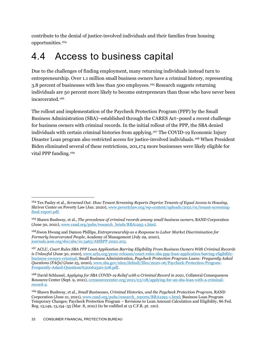contribute to the denial of justice-involved individuals and their families from housing opportunities.[164](#page-33-1)

### <span id="page-33-0"></span>4.4 Access to business capital

Due to the challenges of finding employment, many returning individuals instead turn to entrepreneurship. Over 1.1 million small business owners have a criminal history, representing 3.8 percent of businesses with less than 500 employees.[165](#page-33-2) Research suggests returning individuals are 50 percent more likely to become entrepreneurs than those who have never been incarcerated.[166](#page-33-3)

The rollout and implementation of the Paycheck Protection Program (PPP) by the Small Business Administration (SBA)–established through the CARES Act–posed a recent challenge for business owners with criminal records. In the initial rollout of the PPP, the SBA denied individuals with certain criminal histories from applying.[167](#page-33-4) The COVID-19 Economic Injury Disaster Loan program also restricted access for justice-involved individuals.[168](#page-33-5) When President Biden eliminated several of these restrictions, 201,174 more businesses were likely eligible for vital PPP funding.[169](#page-33-6)

<span id="page-33-1"></span><sup>164</sup> Tex Pasley et al., *Screened Out: How Tenant Screening Reports Deprive Tenants of Equal Access to Housing*, Shriver Center on Poverty Law (Jan. 2020)[, www.povertylaw.org/wp-content/uploads/2021/01/tenant-screening](www.povertylaw.org/wp-content/uploads/2021/01/tenant-screening-final-report.pdf)[final-report.pdf.](www.povertylaw.org/wp-content/uploads/2021/01/tenant-screening-final-report.pdf)

<span id="page-33-2"></span><sup>165</sup> Shawn Bushway, et al., *The prevalence of criminal records among small business owners*, RAND Corporation (June 30, 2021)[, www.rand.org/pubs/research\\_briefs/RBA1295-1.html.](http://www.rand.org/pubs/research_briefs/RBA1295-1.html)

<span id="page-33-3"></span><sup>166</sup>Jiwon Hwang and Damon Phillips, *Entrepreneurship as a Response to Labor Market Discrimination for Formerly Incarcerated People*, Academy of Management (July 29, 2020), [journals.aom.org/doi/abs/10.5465/AMBPP.2020.205.](https://journals.aom.org/doi/abs/10.5465/AMBPP.2020.205)

<span id="page-33-4"></span><sup>167</sup> ACLU, *Court Rules SBA PPP Loan Application Barring Eligibility From Business Owners With Criminal Records is Unlawful* (June 30, 2020), [www.aclu.org/press-releases/court-rules-sba-ppp-loan-application-barring-eligibility](http://www.aclu.org/press-releases/court-rules-sba-ppp-loan-application-barring-eligibility-business-owners-criminal)[business-owners-criminal;](http://www.aclu.org/press-releases/court-rules-sba-ppp-loan-application-barring-eligibility-business-owners-criminal) Small Business Administration, *Paycheck Protection Program Loans: Frequently Asked Questions (FAQs)* (June 25, 2020)[, www.sba.gov/sites/default/files/2020-06/Paycheck-Protection-Program-](http://www.sba.gov/sites/default/files/2020-06/Paycheck-Protection-Program-Frequently-Asked-Questions%20062520-508.pdf)[Frequently-Asked-Questions%20062520-508.pdf.](http://www.sba.gov/sites/default/files/2020-06/Paycheck-Protection-Program-Frequently-Asked-Questions%20062520-508.pdf)

<span id="page-33-5"></span><sup>168</sup> David Schlussel, *Applying for SBA COVID-19 Relief with a Criminal Record in 2021*, Collateral Consequences Resource Center (Sept. 9, 2021)[, ccresourcecenter.org/2021/03/08/applying-for-an-sba-loan-with-a-criminal](https://ccresourcecenter.org/2021/03/08/applying-for-an-sba-loan-with-a-criminal-record-2/)[record-2.](https://ccresourcecenter.org/2021/03/08/applying-for-an-sba-loan-with-a-criminal-record-2/)

<span id="page-33-6"></span><sup>169</sup> Shawn Bushway, et al., *Small Businesses, Criminal Histories, and the Paycheck Protection Program*, RAND Corporation (June 21, 2021)[, www.rand.org/pubs/research\\_reports/RRA1295-1.html;](https://www.rand.org/pubs/research_reports/RRA1295-1.html) Business Loan Program Temporary Changes; Paycheck Protection Program – Revisions to Loan Amount Calculation and Eligibility, 86 Fed. Reg. 13,149, 13,154–55 (Mar. 8, 2021) (to be codified at 13 C.F.R. pt. 120).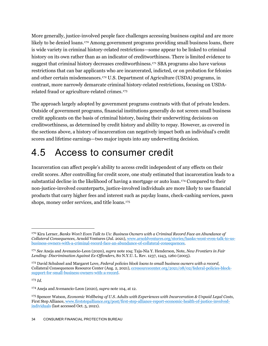More generally, justice-involved people face challenges accessing business capital and are more likely to be denied loans.<sup>[170](#page-34-1)</sup> Among government programs providing small business loans, there is wide variety in criminal history-related restrictions—some appear to be linked to criminal history on its own rather than as an indicator of creditworthiness. There is limited evidence to suggest that criminal history decreases creditworthiness.[171](#page-34-2) SBA programs also have various restrictions that can bar applicants who are incarcerated, indicted, or on probation for felonies and other certain misdemeanors.[172](#page-34-3) U.S. Department of Agriculture (USDA) programs, in contrast, more narrowly demarcate criminal history-related restrictions, focusing on USDArelated fraud or agriculture-related crimes.[173](#page-34-4)

The approach largely adopted by government programs contrasts with that of private lenders. Outside of government programs, financial institutions generally do not screen small business credit applicants on the basis of criminal history, basing their underwriting decisions on creditworthiness, as determined by credit history and ability to repay. However, as covered in the sections above, a history of incarceration can negatively impact both an individual's credit scores and lifetime earnings—two major inputs into any underwriting decision.

### <span id="page-34-0"></span>4.5 Access to consumer credit

Incarceration can affect people's ability to access credit independent of any effects on their credit scores. After controlling for credit score, one study estimated that incarceration leads to a substantial decline in the likelihood of having a mortgage or auto loan.<sup>[174](#page-34-5)</sup> Compared to their non-justice-involved counterparts, justice-involved individuals are more likely to use financial products that carry higher fees and interest such as payday loans, check-cashing services, pawn shops, money order services, and title loans.[175](#page-34-6)

<span id="page-34-1"></span><sup>170</sup> Kira Lerner, *Banks Won't Even Talk to Us: Business Owners with a Criminal Record Face an Abundance of Collateral Consequences,* Arnold Ventures (Jul. 2021)[, www.arnoldventures.org/stories/banks-wont-even-talk-to-us](http://www.arnoldventures.org/stories/banks-wont-even-talk-to-us-business-owners-with-a-criminal-record-face-an-abundance-of-collateral-consequences)[business-owners-with-a-criminal-record-face-an-abundance-of-collateral-consequences.](http://www.arnoldventures.org/stories/banks-wont-even-talk-to-us-business-owners-with-a-criminal-record-face-an-abundance-of-collateral-consequences)

<span id="page-34-2"></span><sup>171</sup> *See* Aneja and Avenancio-Leon (2020), *supra* note 104; Taja-Nia Y. Henderson, Note, *New Frontiers in Fair Lending: Discrimination Against Ex-Offenders*, 80 N.Y.U. L. Rev. 1237, 1243, 1260 (2005).

<span id="page-34-3"></span><sup>172</sup> David Schulssel and Margaret Love, *Federal policies block loans to small business owners with a record*, Collateral Consequences Resource Center (Aug. 2, 2021), [ccresourcecenter.org/2021/08/02/federal-policies-block](https://ccresourcecenter.org/2021/08/02/federal-policies-block-support-for-small-business-owners-with-a-record/#_ednref1)[support-for-small-business-owners-with-a-record.](https://ccresourcecenter.org/2021/08/02/federal-policies-block-support-for-small-business-owners-with-a-record/#_ednref1)

<span id="page-34-5"></span><span id="page-34-4"></span><sup>174</sup> Aneja and Avenancio-Leon (2020), *supra* note 104, at 12.

<span id="page-34-6"></span><sup>175</sup> Spencer Watson, *Economic Wellbeing of U.S. Adults with Experiences with Incarceration & Unpaid Legal Costs*, First Step Alliance[, www.firststepalliance.org/post/first-step-alliance-report-economic-health-of-justice-involved](https://www.firststepalliance.org/post/first-step-alliance-report-economic-health-of-justice-involved-individuals)[individuals](https://www.firststepalliance.org/post/first-step-alliance-report-economic-health-of-justice-involved-individuals) (last accessed Oct. 5, 2021).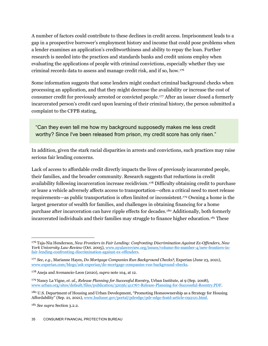A number of factors could contribute to these declines in credit access. Imprisonment leads to a gap in a prospective borrower's employment history and income that could pose problems when a lender examines an application's creditworthiness and ability to repay the loan. Further research is needed into the practices and standards banks and credit unions employ when evaluating the applications of people with criminal convictions, especially whether they use criminal records data to assess and manage credit risk, and if so, how[.176](#page-35-0)

Some information suggests that some lenders might conduct criminal background checks when processing an application, and that they might decrease the availability or increase the cost of consumer credit for previously arrested or convicted people.[177](#page-35-1) After an issuer closed a formerly incarcerated person's credit card upon learning of their criminal history, the person submitted a complaint to the CFPB stating,

"Can they even tell me how my background supposedly makes me less credit worthy? Since I've been released from prison, my credit score has only risen."

In addition, given the stark racial disparities in arrests and convictions, such practices may raise serious fair lending concerns.

Lack of access to affordable credit directly impacts the lives of previously incarcerated people, their families, and the broader community. Research suggests that reductions in credit availability following incarceration increase recidivism.[178](#page-35-2) Difficulty obtaining credit to purchase or lease a vehicle adversely affects access to transportation—often a critical need to meet release requirements—as public transportation is often limited or inconsistent. [179](#page-35-3) Owning a home is the largest generator of wealth for families, and challenges in obtaining financing for a home purchase after incarceration can have ripple effects for decades[.180](#page-35-4) Additionally, both formerly incarcerated individuals and their families may struggle to finance higher education.<sup>[181](#page-35-5)</sup> These

<span id="page-35-0"></span><sup>176</sup> Taja-Nia Henderson, *New Frontiers in Fair Lending: Confronting Discrimination Against Ex-Offenders, New York University Law Review* (Oct. 2005)[, www.nyulawreview.org/issues/volume-80-number-4/new-frontiers-in](https://www.nyulawreview.org/issues/volume-80-number-4/new-frontiers-in-fair-lending-confronting-discrimination-against-ex-offenders/)[fair-lending-confronting-discrimination-against-ex-offenders.](https://www.nyulawreview.org/issues/volume-80-number-4/new-frontiers-in-fair-lending-confronting-discrimination-against-ex-offenders/)

<span id="page-35-1"></span><sup>177</sup> *See*, *e.g.*, Marianne Hayes, *Do Mortgage Companies Run Background Checks?,* Experian (June 23, 2021), [www.experian.com/blogs/ask-experian/do-mortgage-companies-run-background-checks.](https://www.experian.com/blogs/ask-experian/do-mortgage-companies-run-background-checks/)

<span id="page-35-2"></span><sup>178</sup> Aneja and Avenancio-Leon (2020), *supra* note 104, at 12.

<span id="page-35-3"></span><sup>179</sup> Nancy La Vigne, *et. al.*, *Release Planning for Successful Reentry*, Urban Institute, at 9 (Sep. 2008), [www.urban.org/sites/default/files/publication/32056/411767-Release-Planning-for-Successful-Reentry.PDF.](www.urban.org/sites/default/files/publication/32056/411767-Release-Planning-for-Successful-Reentry.PDF)

<span id="page-35-4"></span><sup>&</sup>lt;sup>180</sup> U.S. Department of Housing and Urban Development, "Promoting Homeownership as a Strategy for Housing Affordability" (Sep. 21, 2021), [www.huduser.gov/portal/pdredge/pdr-edge-featd-article-092121.html.](www.huduser.gov/portal/pdredge/pdr-edge-featd-article-092121.html)

<span id="page-35-5"></span><sup>181</sup> *See supra* Section 3.2.2.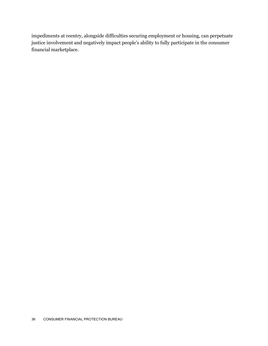impediments at reentry, alongside difficulties securing employment or housing, can perpetuate justice involvement and negatively impact people's ability to fully participate in the consumer financial marketplace.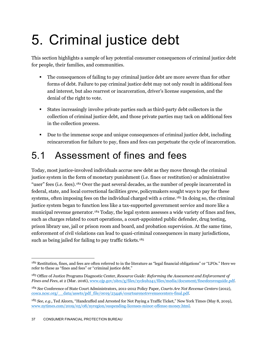## <span id="page-37-0"></span>5. Criminal justice debt

This section highlights a sample of key potential consumer consequences of criminal justice debt for people, their families, and communities.

- The consequences of failing to pay criminal justice debt are more severe than for other forms of debt. Failure to pay criminal justice debt may not only result in additional fees and interest, but also rearrest or incarceration, driver's license suspension, and the denial of the right to vote.
- States increasingly involve private parties such as third-party debt collectors in the collection of criminal justice debt, and those private parties may tack on additional fees in the collection process.
- Due to the immense scope and unique consequences of criminal justice debt, including reincarceration for failure to pay, fines and fees can perpetuate the cycle of incarceration.

## <span id="page-37-1"></span>5.1 Assessment of fines and fees

Today, most justice-involved individuals accrue new debt as they move through the criminal justice system in the form of monetary punishment (i.e. fines or restitution) or administrative "user" fees (i.e. fees).[182](#page-37-2) Over the past several decades, as the number of people incarcerated in federal, state, and local correctional facilities grew, policymakers sought ways to pay for these systems, often imposing fees on the individual charged with a crime.<sup>183</sup> In doing so, the criminal justice system began to function less like a tax-supported government service and more like a municipal revenue generator.<sup>[184](#page-37-4)</sup> Today, the legal system assesses a wide variety of fines and fees, such as charges related to court operations, a court-appointed public defender, drug testing, prison library use, jail or prison room and board, and probation supervision. At the same time, enforcement of civil violations can lead to quasi-criminal consequences in many jurisdictions, such as being jailed for failing to pay traffic tickets.<sup>[185](#page-37-5)</sup>

<span id="page-37-2"></span><sup>&</sup>lt;sup>182</sup> Restitution, fines, and fees are often referred to in the literature as "legal financial obligations" or "LFOs." Here we refer to these as "fines and fees" or "criminal justice debt."

<span id="page-37-3"></span><sup>183</sup> Office of Justice Programs Diagnostic Center, *Resource Guide: Reforming the Assessment and Enforcement of Fines and Fees*, at 2 (Mar. 2016), [www.ojp.gov/sites/g/files/xyckuh241/files/media/document/finesfeesresguide.pdf.](https://www.ojp.gov/sites/g/files/xyckuh241/files/media/document/finesfeesresguide.pdf)

<span id="page-37-4"></span><sup>184</sup> *See* Conference of State Court Administrators, 2011-2012 Policy Paper*, Courts Are Not Revenue Centers* (2012), [cosca.ncsc.org/\\_\\_data/assets/pdf\\_file/0019/23446/courtsarenotrevenuecenters-final.pdf.](https://cosca.ncsc.org/__data/assets/pdf_file/0019/23446/courtsarenotrevenuecenters-final.pdf)

<span id="page-37-5"></span><sup>185</sup> *See, e.g.,* Ted Alcorn, "Handcuffed and Arrested for Not Paying a Traffic Ticket," New York Times (May 8, 2019), [www.nytimes.com/2019/05/08/nyregion/suspending-licenses-minor-offense-money.html.](http://www.nytimes.com/2019/05/08/nyregion/suspending-licenses-minor-offense-money.html)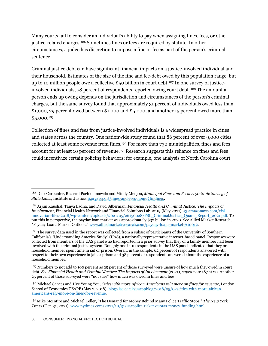Many courts fail to consider an individual's ability to pay when assigning fines, fees, or other justice-related charges.[186](#page-38-0) Sometimes fines or fees are required by statute. In other circumstances, a judge has discretion to impose a fine or fee as part of the person's criminal sentence.

Criminal justice debt can have significant financial impacts on a justice-involved individual and their household. Estimates of the size of the fine and fee-debt owed by this population range, but up to 10 million people owe a collective \$50 billion in court debt.[187](#page-38-1) In one survey of justiceinvolved individuals, 78 percent of respondents reported owing court debt. [188](#page-38-2) The amount a person ends up owing depends on the jurisdiction and circumstances of the person's criminal charges, but the same survey found that approximately 31 percent of individuals owed less than \$1,000, 29 percent owed between \$1,000 and \$5,000, and another 15 percent owed more than \$5,000.[189](#page-38-3)

Collection of fines and fees from justice-involved individuals is a widespread practice in cities and states across the country. One nationwide study found that 86 percent of over 9,000 cities collected at least some revenue from fines.[190](#page-38-4) For more than 730 municipalities, fines and fees account for at least 10 percent of revenue.<sup>[191](#page-38-5)</sup> Research suggests this reliance on fines and fees could incentivize certain policing behaviors; for example, one analysis of North Carolina court

<span id="page-38-0"></span><sup>186</sup> Dick Carpenter, Richard Pochkhanawala and Mindy Menjou, *Municipal Fines and Fees: A 50-State Survey of State Laws*, Institute of Justice, **ij.org/report/fines-and-fees-home#findings.** 

<span id="page-38-1"></span><sup>187</sup> Arjun Kaushal, Tanya Ladha, and David Silberman, *Financial Health and Criminal Justice: The Impacts of Involvement*, Financial Health Network and Financial Solutions Lab, at 19 (May 2021), [s3.amazonaws.com/cfsi](https://s3.amazonaws.com/cfsi-innovation-files-2018/wp-content/uploads/2021/05/26150028/FSL_CriminalJustice_Quant_Report_2021.pdf)[innovation-files-2018/wp-content/uploads/2021/05/26150028/FSL\\_CriminalJustice\\_Quant\\_Report\\_2021.pdf.](https://s3.amazonaws.com/cfsi-innovation-files-2018/wp-content/uploads/2021/05/26150028/FSL_CriminalJustice_Quant_Report_2021.pdf) To put this in perspective, the payday loan market was approximately \$32 billion in 2020. *See* Allied Market Research, "Payday Loans Market Outlook," [www.alliedmarketresearch.com/payday-loans-market-A10012.](https://www.alliedmarketresearch.com/payday-loans-market-A10012)

<span id="page-38-2"></span><sup>&</sup>lt;sup>188</sup> The survey data used in the report was collected from a subset of participants of the University of Southern California's "Understanding America Study" (UAS), a nationally representative internet-based panel. Responses were collected from members of the UAS panel who had reported in a prior survey that they or a family member had been involved with the criminal justice system. Roughly one in 10 respondents in the UAS panel indicated that they or a household member spent time in jail or prison. Overall, in the sample, 62 percent of respondents answered with respect to their own experience in jail or prison and 38 percent of respondents answered about the experience of a household member.

<span id="page-38-3"></span><sup>&</sup>lt;sup>189</sup> Numbers to not add to 100 percent as 25 percent of those surveyed were unsure of how much they owed in court debt. *See Financial Health and Criminal Justice: The Impacts of Involvement* (2021), *supra* note 187 at 20. Another 25 percent of those surveyed were "not sure" how much was owed in fines and fees.

<span id="page-38-4"></span><sup>190</sup> Michael Sances and Hye Young You*, Cities with more African Americans rely more on fines for revenue*, London School of Economics USAPP (May 2, 2018), [blogs.lse.ac.uk/usappblog/2018/05/02/cities-with-more-african](https://blogs.lse.ac.uk/usappblog/2018/05/02/cities-with-more-african-americans-rely-more-on-fines-for-revenue/)[americans-rely-more-on-fines-for-revenue.](https://blogs.lse.ac.uk/usappblog/2018/05/02/cities-with-more-african-americans-rely-more-on-fines-for-revenue/)

<span id="page-38-5"></span><sup>191</sup> Mike McIntire and Michael Keller, "The Demand for Money Behind Many Police Traffic Stops," *The New York Times* (Oct. 31, 2021)[, www.nytimes.com/2021/10/31/us/police-ticket-quotas-money-funding.html.](https://www.nytimes.com/2021/10/31/us/police-ticket-quotas-money-funding.html/)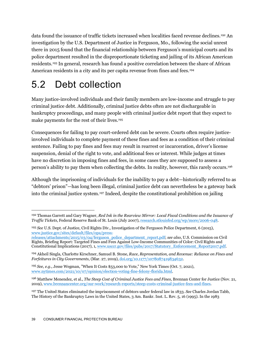data found the issuance of traffic tickets increased when localities faced revenue declines[.192](#page-39-1) An investigation by the U.S. Department of Justice in Ferguson, Mo., following the social unrest there in 2015 found that the financial relationship between Ferguson's municipal courts and its police department resulted in the disproportionate ticketing and jailing of its African American residents.[193](#page-39-2) In general, research has found a positive correlation between the share of African American residents in a city and its per capita revenue from fines and fees.<sup>[194](#page-39-3)</sup>

## <span id="page-39-0"></span>5.2 Debt collection

Many justice-involved individuals and their family members are low-income and struggle to pay criminal justice debt. Additionally, criminal justice debts often are not dischargeable in bankruptcy proceedings, and many people with criminal justice debt report that they expect to make payments for the rest of their lives[.195](#page-39-4)

Consequences for failing to pay court-ordered debt can be severe. Courts often require justiceinvolved individuals to complete payment of these fines and fees as a condition of their criminal sentence. Failing to pay fines and fees may result in rearrest or incarceration, driver's license suspension, denial of the right to vote, and additional fees or interest. While judges at times have no discretion in imposing fines and fees, in some cases they are supposed to assess a person's ability to pay them when collecting the debts. In reality, however, this rarely occurs[.196](#page-39-5)

Although the imprisoning of individuals for the inability to pay a debt—historically referred to as "debtors' prison"—has long been illegal, criminal justice debt can nevertheless be a gateway back into the criminal justice system.[197](#page-39-6) Indeed, despite the constitutional prohibition on jailing

<span id="page-39-1"></span><sup>192</sup> Thomas Garrett and Gary Wagner, *Red Ink in the Rearview Mirror: Local Fiscal Conditions and the Issuance of Traffic Tickets*, Federal Reserve Bank of St. Louis (July 2007), [research.stlouisfed.org/wp/more/2006-048.](https://research.stlouisfed.org/wp/more/2006-048)

<span id="page-39-2"></span><sup>193</sup> *See* U.S. Dept. of Justice, Civil Rights Div., Investigation of the Ferguson Police Department, 6 (2015), [www.justice.gov/sites/default/files/opa/press-](http://www.justice.gov/sites/default/files/opa/press-releases/attachments/2015/03/04/ferguson_police_department_report.pdf)

[releases/attachments/2015/03/04/ferguson\\_police\\_department\\_report.pdf;](http://www.justice.gov/sites/default/files/opa/press-releases/attachments/2015/03/04/ferguson_police_department_report.pdf) *see also*, U.S. Commission on Civil Rights, Briefing Report: Targeted Fines and Fees Against Low-Income Communities of Color: Civil Rights and Constitutional Implications (2017), 1[, www.usccr.gov/files/pubs/2017/Statutory\\_Enforcement\\_Report2017.pdf.](https://www.usccr.gov/files/pubs/2017/Statutory_Enforcement_Report2017.pdf)

<span id="page-39-3"></span><sup>194</sup> Akheil Singla, Charlotte Kirschner, Samuel B. Stone, *Race, Representation, and Revenue: Reliance on Fines and Forfeitures in City Governments*, (Mar. 27, 2019)[, doi.org/10.1177/1078087419834632.](https://doi.org/10.1177/1078087419834632)

<span id="page-39-4"></span><sup>195</sup> *See, e.g.,* Jesse Wegman, "When It Costs \$53,000 to Vote," New York Times (Oct. 7, 2021), [www.nytimes.com/2021/10/07/opinion/election-voting-fine-felony-florida.html.](http://www.nytimes.com/2021/10/07/opinion/election-voting-fine-felony-florida.html)

<span id="page-39-5"></span><sup>196</sup> Matthew Menendez, et al., *The Steep Cost of Criminal Justice Fees and Fines*, Brennan Center for Justice (Nov. 21, 2019)[, www.brennancenter.org/our-work/research-reports/steep-costs-criminal-justice-fees-and-fines.](https://www.brennancenter.org/our-work/research-reports/steep-costs-criminal-justice-fees-and-fines) 

<span id="page-39-6"></span><sup>197</sup> The United States eliminated the imprisonment of debtors under federal law in 1833. *See* Charles Jordan Tabb, The History of the Bankruptcy Laws in the United States, 3 Am. Bankr. Inst. L. Rev. 5, 16 (1995). In the 1983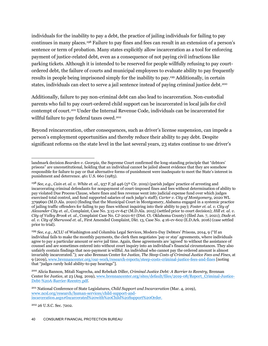individuals for the inability to pay a debt, the practice of jailing individuals for failing to pay continues in many places.[198](#page-40-0) Failure to pay fines and fees can result in an extension of a person's sentence or term of probation. Many states explicitly allow incarceration as a tool for enforcing payment of justice-related debt, even as a consequence of not paying civil infractions like parking tickets. Although it is intended to be reserved for people willfully refusing to pay courtordered debt, the failure of courts and municipal employees to evaluate ability to pay frequently results in people being imprisoned simply for the inability to pay[.199](#page-40-1) Additionally, in certain states, individuals can elect to serve a jail sentence instead of paying criminal justice debt.<sup>[200](#page-40-2)</sup>

Additionally, failure to pay non-criminal debt can also lead to incarceration. Non-custodial parents who fail to pay court-ordered child support can be incarcerated in local jails for civil contempt of court.[201](#page-40-3) Under the Internal Revenue Code, individuals can be incarcerated for willful failure to pay federal taxes owed.<sup>[202](#page-40-4)</sup>

Beyond reincarceration, other consequences, such as driver's license suspension, can impede a person's employment opportunities and thereby reduce their ability to pay debt. Despite significant reforms on the state level in the last several years, 23 states continue to use driver's

<span id="page-40-4"></span><sup>202</sup> 26 U.S.C. Sec. 7202.

landmark decision *Bearden v. Georgia*, the Supreme Court confirmed the long-standing principle that "debtors' prisons" are unconstitutional, holding that an individual cannot be jailed absent evidence that they are somehow responsible for failure to pay or that alternative forms of punishment were inadequate to meet the State's interest in punishment and deterrence. 461 U.S. 660 (1983).

<span id="page-40-0"></span><sup>198</sup> *See, e.g., Cain et. al. v. White et. al.*, 937 F.3d 446 (5th Cir. 2019) (parish judges' practice of arresting and incarcerating criminal defendants for nonpayment of court-imposed fines and fees without determination of ability to pay violated Due Process Clause, where fines and fees revenue went into judicial expense fund over which judges exercised total control, and fund supported salaries of each judge's staff); *Carter v. City of Montgomery*, 2020 WL 3799690 (M.D.Ala. 2020) (finding that the Municipal Court in Montgomery, Alabama engaged in a systemic practice of jailing traffic offenders for failing to pay fines without inquiring into their ability to pay); *Foster et. al. v. City of Alexander City et. al.,* Complaint, Case No. 3:15-cv-647 (M.D.Ala. 2015) (settled prior to court decision); *Hill et. al. v. City of Valley Brook et. al.*, Complaint Case No. CJ-2021-67 (Dist. Ct. Oklahoma County) (filed Jan. 7, 2021); *Dade et. al. v. City of Sherwood et. al*., First Amended Complaint, Dkt. 13, Case No. 4:16-cv-602 (E.D.Ark. 2016) (case settled prior to trial).

<span id="page-40-1"></span><sup>199</sup> *See, e.g.,* ACLU of Washington and Columbia Legal Services, Modern-Day Debtors' Prisons, 2014, 9 ("If an individual fails to make the monthly payments, the clerk then negotiates 'pay or stay' agreements, where individuals agree to pay a particular amount or serve jail time. Again, these agreements are 'agreed' to without the assistance of counsel and are sometimes entered into without court inquiry into an individual's financial circumstances. They also unfairly contain findings that non-payment is willful. An individual who cannot pay the ordered amount is almost invariably incarcerated.")*; see also* Brennan Center for Justice*, The Steep Costs of Criminal Justice Fees and Fines*, at 9 (2019)[, www.brennancenter.org/our-work/research-reports/steep-costs-criminal-justice-fees-and-fines](http://www.brennancenter.org/our-work/research-reports/steep-costs-criminal-justice-fees-and-fines) [noting that "judges rarely hold ability-to-pay hearings"].

<span id="page-40-2"></span><sup>200</sup> Alicia Bannon, Mitali Nagrecha, and Rebekah Diller, *Criminal Justice Debt: A Barrier to Reentry*, Brennan Center for Justice, at 23 (Aug. 2019)[, www.brennancenter.org/sites/default/files/2019-08/Report\\_Criminal-Justice-](https://www.brennancenter.org/sites/default/files/2019-08/Report_Criminal-Justice-Debt-%20A-Barrier-Reentry.pdf)[Debt-%20A-Barrier-Reentry.pdf.](https://www.brennancenter.org/sites/default/files/2019-08/Report_Criminal-Justice-Debt-%20A-Barrier-Reentry.pdf)

<span id="page-40-3"></span><sup>201</sup> National Conference of State Legislatures, *Child Support and Incarceration* (Mar. 4, 2019), [www.ncsl.org/research/human-services/child-support-and](https://www.ncsl.org/research/human-services/child-support-and-incarceration.aspx#Incarcerated%20with%20Child%20Support%20Order)[incarceration.aspx#Incarcerated%20with%20Child%20Support%20Order.](https://www.ncsl.org/research/human-services/child-support-and-incarceration.aspx#Incarcerated%20with%20Child%20Support%20Order)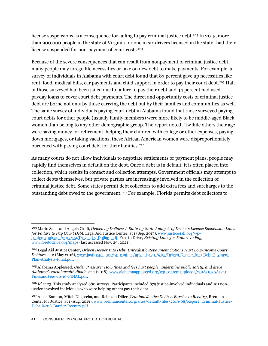license suspensions as a consequence for failing to pay criminal justice debt.<sup>[203](#page-41-0)</sup> In 2015, more than 900,000 people in the state of Virginia–or one in six drivers licensed in the state–had their license suspended for non-payment of court costs[.204](#page-41-1)

Because of the severe consequences that can result from nonpayment of criminal justice debt, many people may forego life necessities or take on new debt to make payments. For example, a survey of individuals in Alabama with court debt found that 83 percent gave up necessities like rent, food, medical bills, car payments and child support in order to pay their court debt.<sup>[205](#page-41-2)</sup> Half of those surveyed had been jailed due to failure to pay their debt and 44 percent had used payday loans to cover court debt payments. The direct and opportunity costs of criminal justice debt are borne not only by those carrying the debt but by their families and communities as well. The same survey of individuals paying court debt in Alabama found that those surveyed paying court debts for other people (usually family members) were more likely to be middle-aged Black women than belong to any other demographic group. The report noted, "[w]hile others their age were saving money for retirement, helping their children with college or other expenses, paying down mortgages, or taking vacations, these African American women were disproportionately burdened with paying court debt for their families."[206](#page-41-3)

As many courts do not allow individuals to negotiate settlements or payment plans, people may rapidly find themselves in default on the debt. Once a debt is in default, it is often placed into collection, which results in contact and collection attempts. Government officials may attempt to collect debts themselves, but private parties are increasingly involved in the collection of criminal justice debt. Some states permit debt collectors to add extra fees and surcharges to the outstanding debt owed to the government.[207](#page-41-4) For example, Florida permits debt collectors to

<span id="page-41-0"></span><sup>203</sup> Mario Salas and Angela Ciolfi, *Driven by Dollars: A State-by-State Analysis of Driver's License Suspension Laws for Failure to Pay Court Debt*, Legal Aid Justice Center, at 1 (Sep. 2017), [www.justice4all.org/wp](https://www.justice4all.org/wp-content/uploads/2017/09/Driven-by-Dollars.pdf)[content/uploads/2017/09/Driven-by-Dollars.pdf;](https://www.justice4all.org/wp-content/uploads/2017/09/Driven-by-Dollars.pdf) Free to Drive, *Existing Laws for Failure to Pay,*  [www.freetodrive.org/maps](http://www.freetodrive.org/maps) (last accessed Nov. 29, 2021).

<span id="page-41-1"></span><sup>204</sup> Legal Aid Justice Center, *Driven Deeper Into Debt: Unrealistic Repayment Options Hurt Low-Income Court Debtors*, at 2 (May 2016)[, www.justice4all.org/wp-content/uploads/2016/05/Driven-Deeper-Into-Debt-Payment-](https://www.justice4all.org/wp-content/uploads/2016/05/Driven-Deeper-Into-Debt-Payment-Plan-Analysis-Final.pdf)[Plan-Analysis-Final.pdf.](https://www.justice4all.org/wp-content/uploads/2016/05/Driven-Deeper-Into-Debt-Payment-Plan-Analysis-Final.pdf)

<span id="page-41-2"></span><sup>205</sup> Alabama Appleseed, *Under Pressure: How fines and fees hurt people, undermine public safety, and drive Alabama's racial wealth divide*, at 4 (2018)[, www.alabamaappleseed.org/wp-content/uploads/2018/10/AA1240-](http://www.alabamaappleseed.org/wp-content/uploads/2018/10/AA1240-FinesandFees-10-10-FINAL.pdf) [FinesandFees-10-10-FINAL.pdf.](http://www.alabamaappleseed.org/wp-content/uploads/2018/10/AA1240-FinesandFees-10-10-FINAL.pdf) 

<span id="page-41-3"></span><sup>206</sup> *Id* at 23*.* This study analyzed 980 surveys. Participants included 879 justice-involved individuals and 101 nonjustice-involved individuals who were helping others pay their debt.

<span id="page-41-4"></span><sup>207</sup> Alicia Bannon, Mitali Nagrecha, and Rebekah Diller, *Criminal Justice Debt: A Barrier to Reentry*, Brennan Center for Justice, at 1 (Aug. 2019), [www.brennancenter.org/sites/default/files/2019-08/Report\\_Criminal-Justice-](https://www.brennancenter.org/sites/default/files/2019-08/Report_Criminal-Justice-Debt-%20A-Barrier-Reentry.pdf)[Debt-%20A-Barrier-Reentry.pdf.](https://www.brennancenter.org/sites/default/files/2019-08/Report_Criminal-Justice-Debt-%20A-Barrier-Reentry.pdf)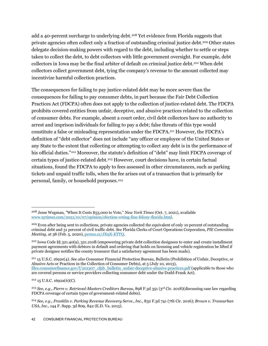add a 40-percent surcharge to underlying debt.<sup>[208](#page-42-0)</sup> Yet evidence from Florida suggests that private agencies often collect only a fraction of outstanding criminal justice debt.[209](#page-42-1) Other states delegate decision-making powers with regard to the debt, including whether to settle or steps taken to collect the debt, to debt collectors with little government oversight. For example, debt collectors in Iowa may be the final arbiter of default on criminal justice debt.<sup>[210](#page-42-2)</sup> When debt collectors collect government debt, tying the company's revenue to the amount collected may incentivize harmful collection practices.

The consequences for failing to pay justice-related debt may be more severe than the consequences for failing to pay consumer debts, in part because the Fair Debt Collection Practices Act (FDCPA) often does not apply to the collection of justice-related debt. The FDCPA prohibits covered entities from unfair, deceptive, and abusive practices related to the collection of consumer debts. For example, absent a court order, civil debt collectors have no authority to arrest and imprison individuals for failing to pay a debt; false threats of this type would constitute a false or misleading representation under the FDCPA. [211](#page-42-3) However, the FDCPA's definition of "debt collector" does not include "any officer or employee of the United States or any State to the extent that collecting or attempting to collect any debt is in the performance of his official duties."<sup>[212](#page-42-4)</sup> Moreover, the statute's definition of "debt" may limit FDCPA coverage of certain types of justice-related debt.[213](#page-42-5) However, court decisions have, in certain factual situations, found the FDCPA to apply to fees assessed in other circumstances, such as parking tickets and unpaid traffic tolls, when the fee arises out of a transaction that is primarily for personal, family, or household purposes.[214](#page-42-6)

<span id="page-42-4"></span> $212$  15 U.S.C. 1692a(6)(C).

<span id="page-42-0"></span><sup>208</sup> Jesse Wegman, "When It Costs \$53,000 to Vote," *New York Times* (Oct. 7, 2021), available [www.nytimes.com/2021/10/07/opinion/election-voting-fine-felony-florida.html.](https://www.nytimes.com/2021/10/07/opinion/election-voting-fine-felony-florida.html)

<span id="page-42-1"></span><sup>&</sup>lt;sup>209</sup> Even after being sent to collections, private agencies collected the equivalent of only 10 percent of outstanding criminal debt and 31 percent of civil traffic debt. *See* Florida Clerks of Court Operations Corporation*, PIE Committee Meeting,* at 38 (Feb. 5, 2020)[, perma.cc/JX9X-ETTQ.](https://perma.cc/JX9X-ETTQ)

<span id="page-42-2"></span><sup>210</sup> Iowa Code §§ 321.40(9), 321.210B (empowering private debt collection designees to enter and create installment payment agreements with debtors in default and ordering that holds on licensing and vehicle registration be lifted if private designee notifies the county treasurer that a satisfactory agreement has been made).

<span id="page-42-3"></span><sup>211</sup> 15 U.S.C. 1692e(4). *See also* Consumer Financial Protection Bureau, Bulletin (Prohibition of Unfair, Deceptive, or Abusive Acts or Practices in the Collection of Consumer Debts), at 5 (July 10, 2013), [files.consumerfinance.gov/f/201307\\_cfpb\\_bulletin\\_unfair-deceptive-abusive-practices.pdf](https://files.consumerfinance.gov/f/201307_cfpb_bulletin_unfair-deceptive-abusive-practices.pdf) (applicable to those who are covered persons or service providers collecting consumer debt under the Dodd-Frank Act).

<span id="page-42-5"></span><sup>213</sup> *See, e.g., Pierre v. Retrieval-Masters Creditors Bureau*, 898 F.3d 351 (3rd Cir. 2018)(discussing case law regarding FDCPA coverage of certain types of government-related debts).

<span id="page-42-6"></span><sup>214</sup> *See, e.g., Franklin v. Parking Revenue Recovery Servs., Inc*., 832 F.3d 741 (7th Cir. 2016); *Brown v. Transurban USA, Inc.*, 144 F. Supp. 3d 809, 842 (E.D. Va. 2015).